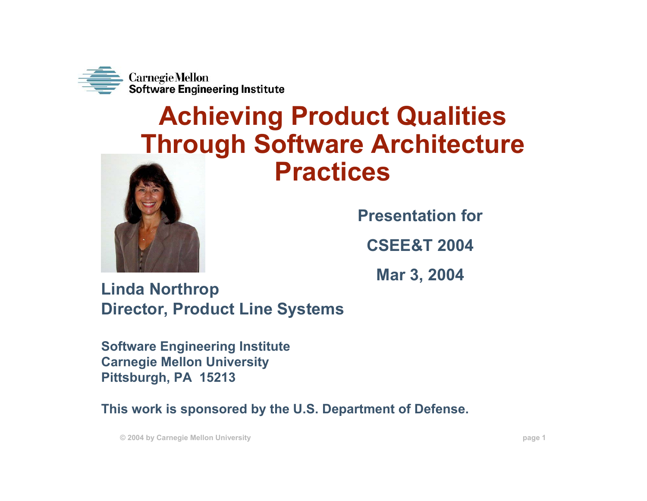

#### **Achieving Product Qualities Through Software Architecture Practices**



**Presentation for**

**CSEE&T 2004** 

**Mar 3, 2004**

**Linda Northrop Director, Product Line Systems**

**Software Engineering Institute Carnegie Mellon University Pittsburgh, PA 15213**

**This work is sponsored by the U.S. Department of Defense.**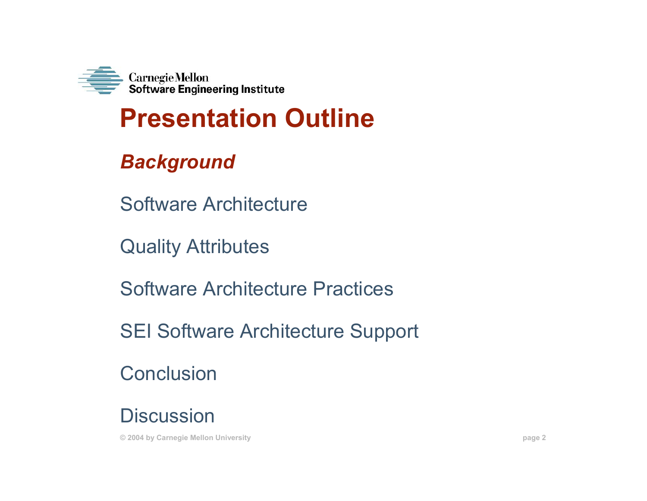

# **Presentation Outline**

#### *Background*

Software Architecture

Quality Attributes

Software Architecture Practices

SEI Software Architecture Support

**Conclusion** 

**Discussion**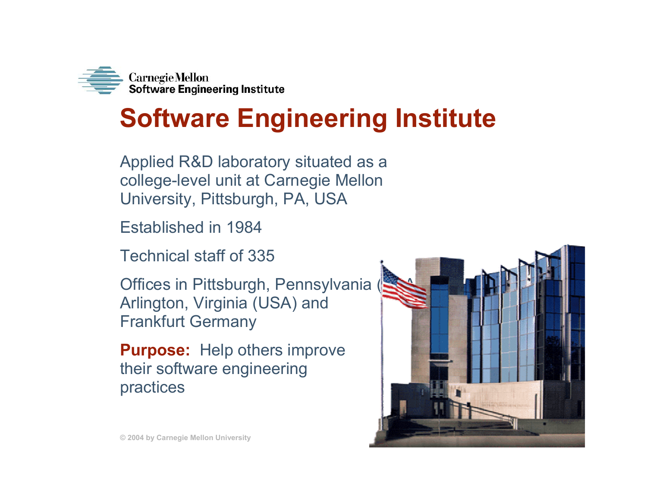

### **Software Engineering Institute**

Applied R&D laboratory situated as a college-level unit at Carnegie Mellon University, Pittsburgh, PA, USA

Established in 1984

Technical staff of 335

Offices in Pittsburgh, Pennsylvania Arlington, Virginia (USA) and Frankfurt Germany

**Purpose:** Help others improve their software engineering practices

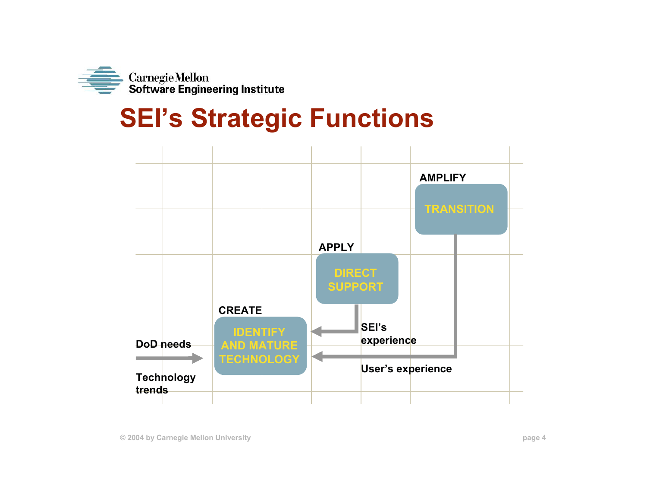

#### **SEI's Strategic Functions**

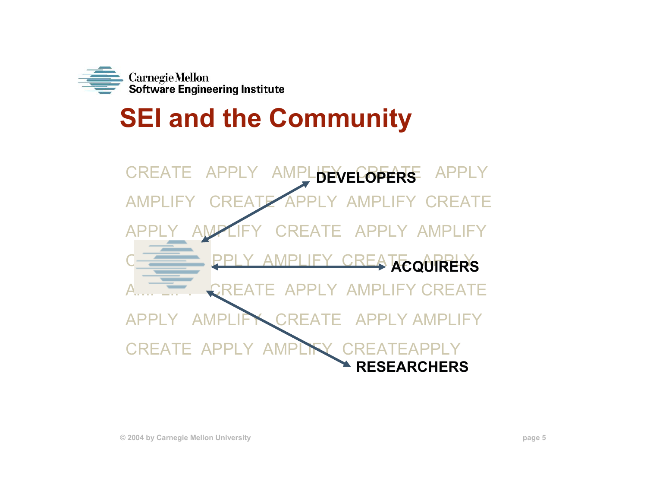

# **SEI and the Community**

CREATE APPLY AMPLIFY CREATE APPLY **DEVELOPERS**AMPLIFY CREATE APPLY AMPLIFY CREATEAPPLY AMPLIFY CREATE APPLY AMPLIFY**COMPLIEY CREATE ACQUIRERS** CREATE APPLY AMPLIFY CREATE APPLY AMPLIFY CREATE APPLY AMPLIFYCREATE APPLY AM **RESEARCHERS**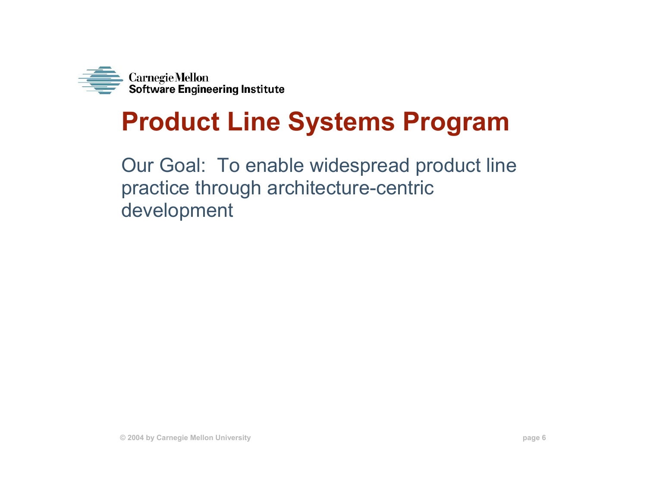

# **Product Line Systems Program**

Our Goal: To enable widespread product line practice through architecture-centric development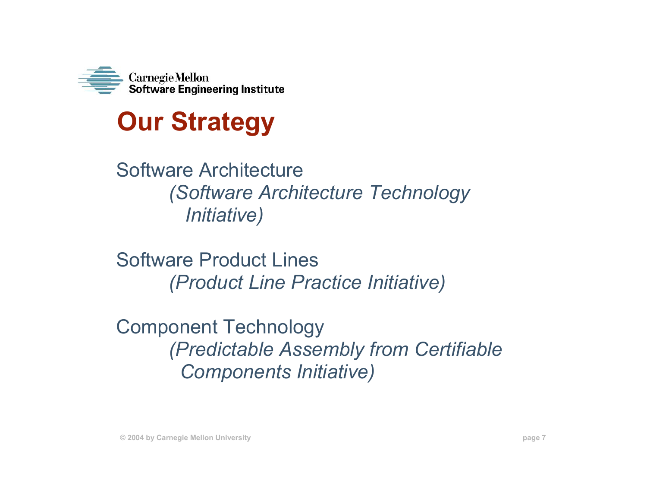



Software Architecture *(Software Architecture Technology Initiative)*

Software Product Lines *(Product Line Practice Initiative)*

Component Technology *(Predictable Assembly from Certifiable Components Initiative)*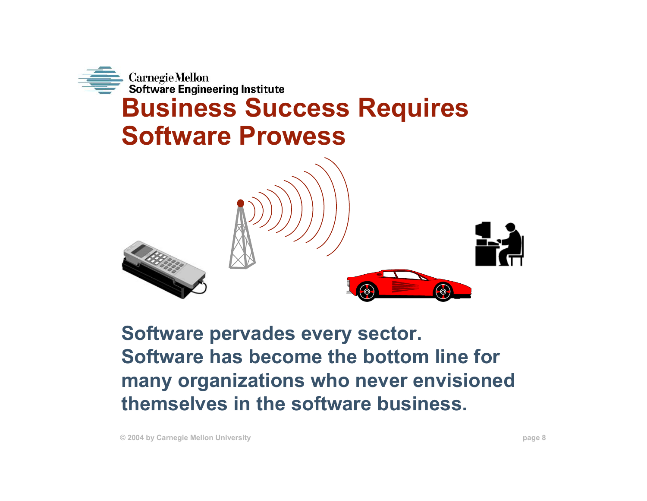

**Software pervades every sector. Software has become the bottom line for many organizations who never envisioned themselves in the software business.**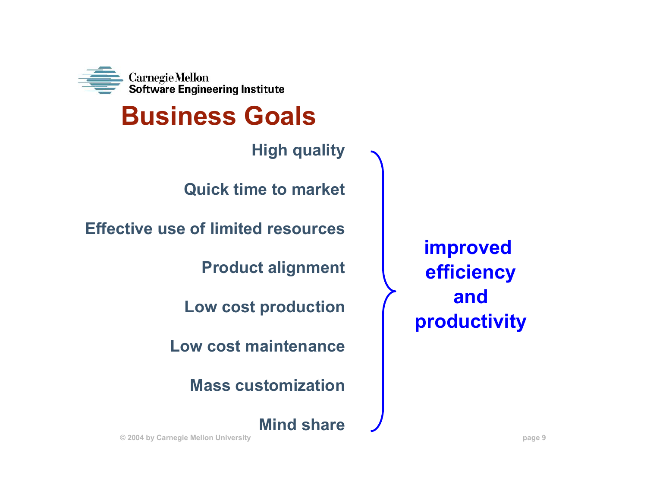

#### **Business Goals**

**High quality**

**Quick time to market**

**Effective use of limited resources**

**Product alignment**

**Low cost production**

**Low cost maintenance**

**Mass customization**

**Mind share**

**improved efficiency andproductivity**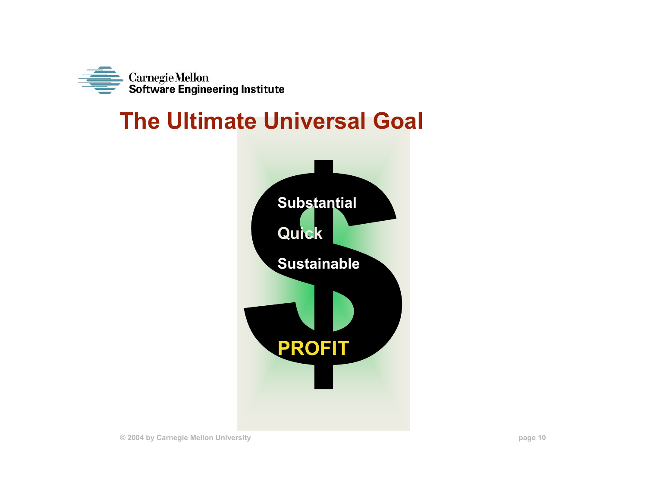

#### **The Ultimate Universal Goal**

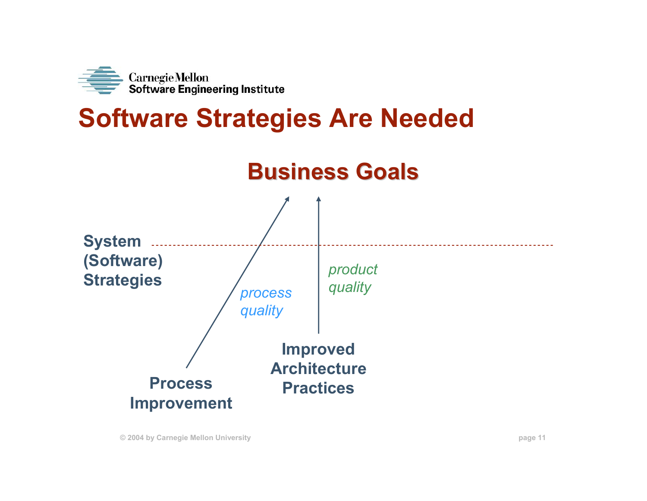

#### **Software Strategies Are Needed**

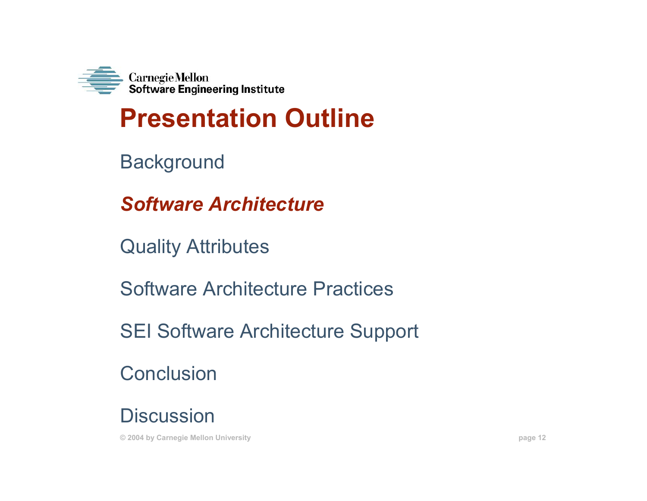

### **Presentation Outline**

**Background** 

*Software Architecture*

Quality Attributes

Software Architecture Practices

SEI Software Architecture Support

**Conclusion** 

**Discussion**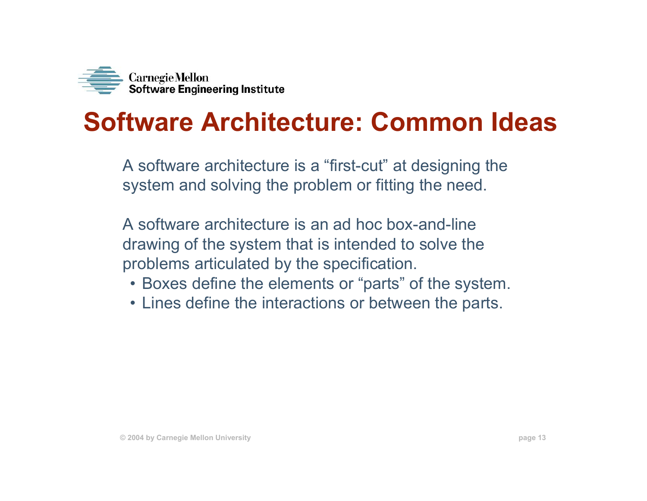

#### **Software Architecture: Common Ideas**

A software architecture is a "first-cut" at designing the system and solving the problem or fitting the need.

A software architecture is an ad hoc box-and-line drawing of the system that is intended to solve the problems articulated by the specification.

- Boxes define the elements or "parts" of the system.
- Lines define the interactions or between the parts.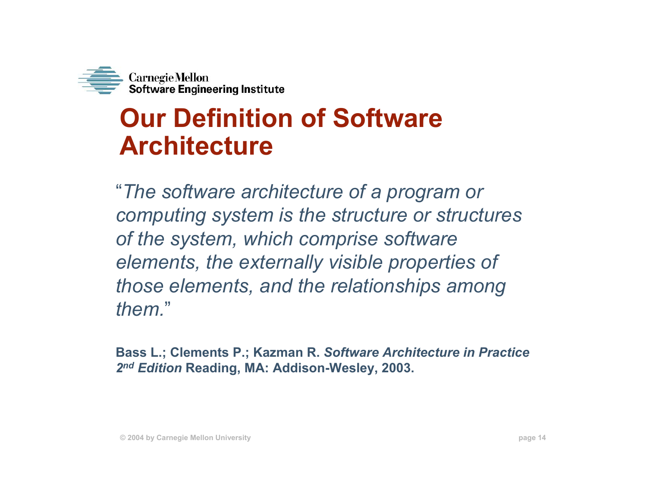

#### **Our Definition of Software Architecture**

"*The software architecture of a program or computing system is the structure or structures of the system, which comprise software elements, the externally visible properties of those elements, and the relationships among them.*"

**Bass L.; Clements P.; Kazman R.** *Software Architecture in Practice 2n<sup>d</sup> Edition* **Reading, MA: Addison-Wesley, 2003.**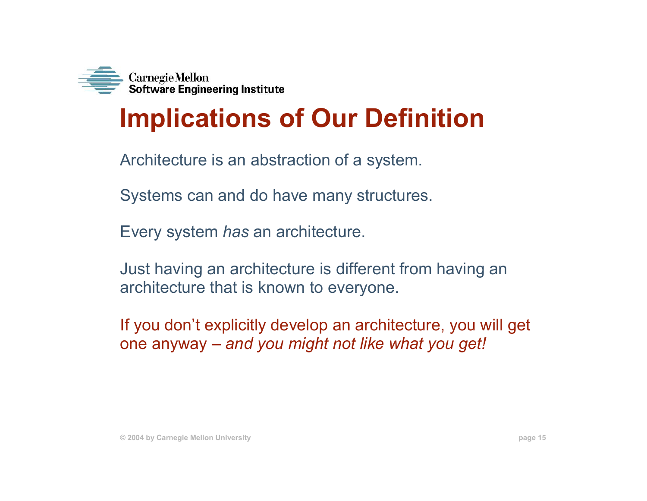

# **Implications of Our Definition**

Architecture is an abstraction of a system.

Systems can and do have many structures.

Every system *has* an architecture.

Just having an architecture is different from having an architecture that is known to everyone.

If you don't explicitly develop an architecture, you will get one anyway – *and you might not like what you get!*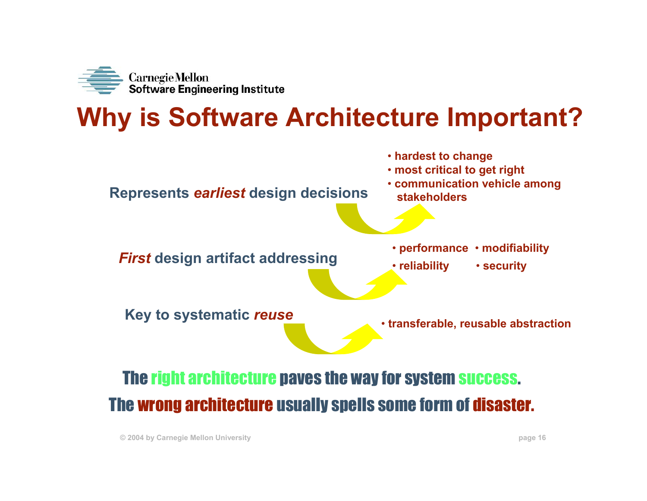

# **Why is Software Architecture Important?**

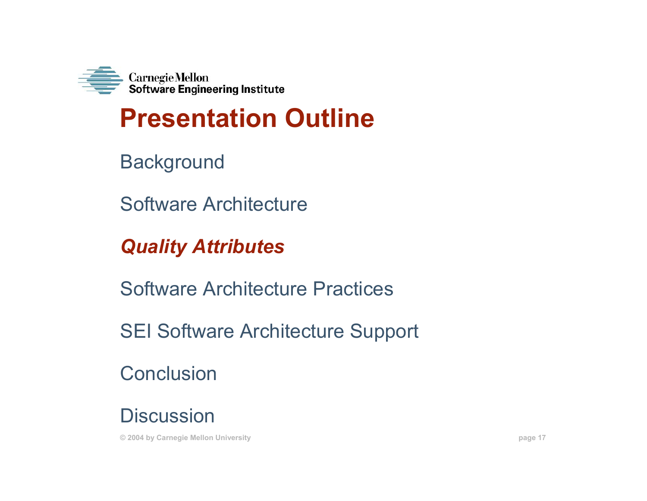

# **Presentation Outline**

**Background** 

Software Architecture

*Quality Attributes*

Software Architecture Practices

SEI Software Architecture Support

**Conclusion** 

**Discussion**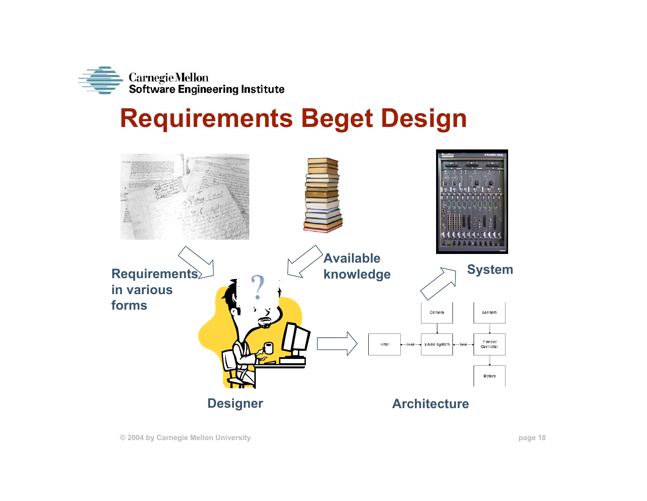

#### **Requirements Beget Design**

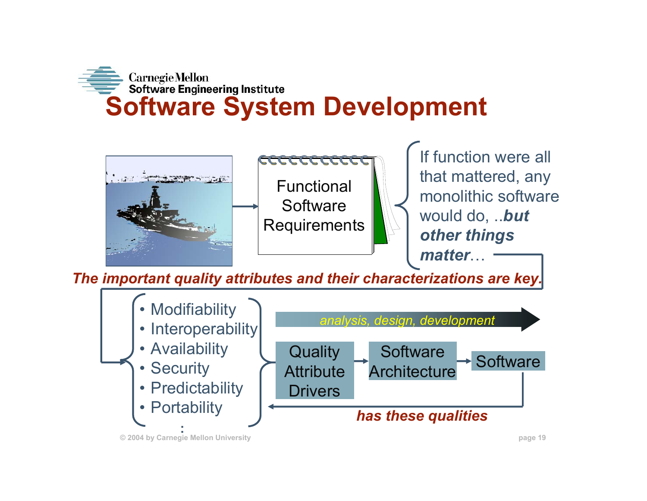



**The important quality attributes and their characterizations are key.** 

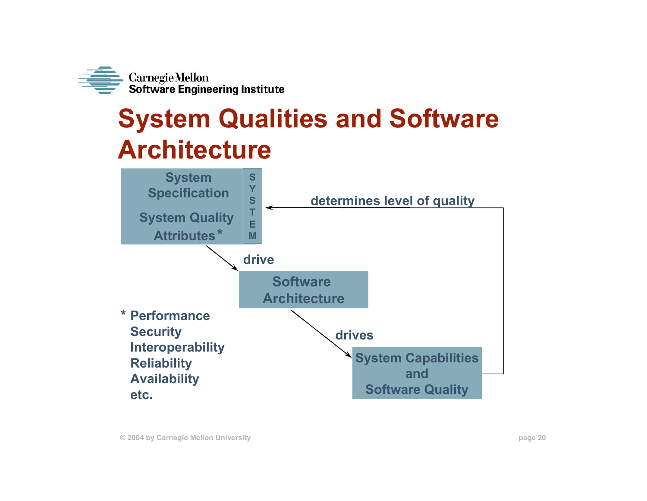

# **System Qualities and Software Architecture**

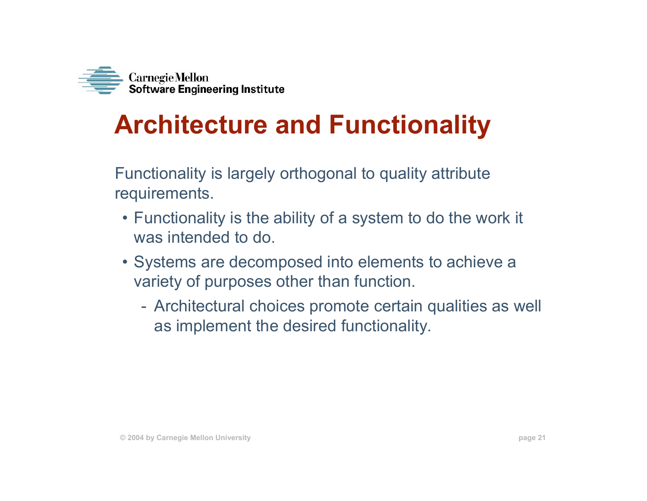

# **Architecture and Functionality**

Functionality is largely orthogonal to quality attribute requirements.

- Functionality is the ability of a system to do the work it was intended to do.
- Systems are decomposed into elements to achieve a variety of purposes other than function.
	- Architectural choices promote certain qualities as well as implement the desired functionality.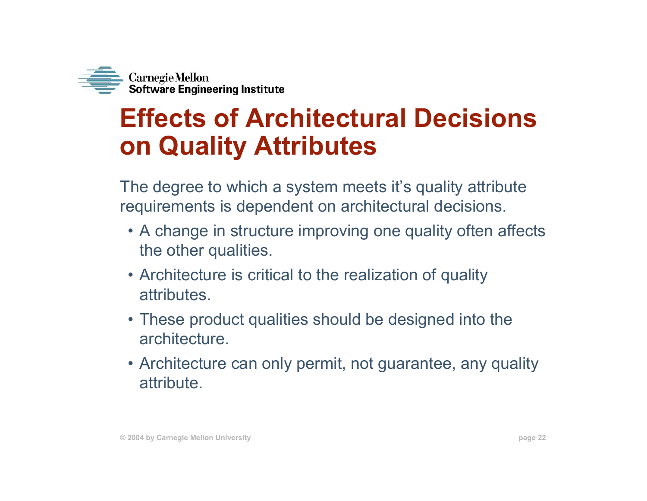

#### **Effects of Architectural Decisions on Quality Attributes**

The degree to which a system meets it's quality attribute requirements is dependent on architectural decisions.

- A change in structure improving one quality often affects the other qualities.
- Architecture is critical to the realization of quality attributes.
- These product qualities should be designed into the architecture.
- Architecture can only permit, not guarantee, any quality attribute.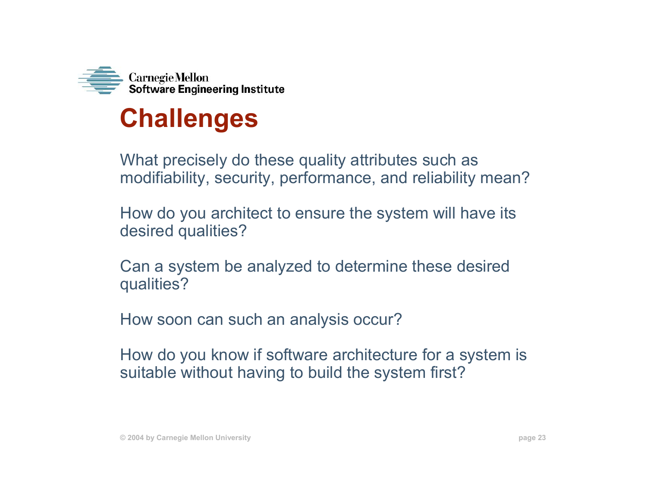

#### **Challenges**

What precisely do these quality attributes such as modifiability, security, performance, and reliability mean?

How do you architect to ensure the system will have its desired qualities?

Can a system be analyzed to determine these desired qualities?

How soon can such an analysis occur?

How do you know if software architecture for a system is suitable without having to build the system first?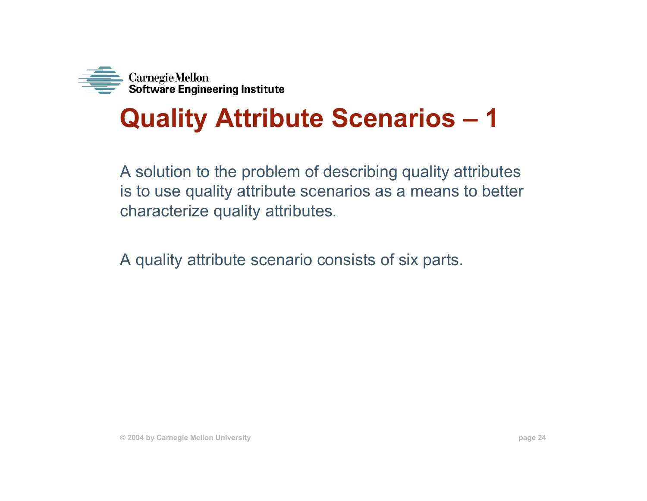

#### **Quality Attribute Scenarios – 1**

A solution to the problem of describing quality attributes is to use quality attribute scenarios as a means to better characterize quality attributes.

A quality attribute scenario consists of six parts.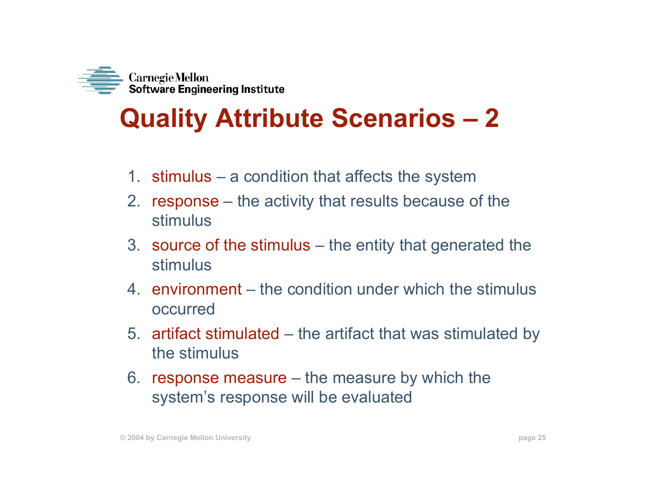

### **Quality Attribute Scenarios – 2**

- 1. stimulus a condition that affects the system
- 2. response the activity that results because of the stimulus
- 3. source of the stimulus the entity that generated the stimulus
- 4. environment the condition under which the stimulus occurred
- 5. artifact stimulated the artifact that was stimulated by the stimulus
- 6. response measure the measure by which the system's response will be evaluated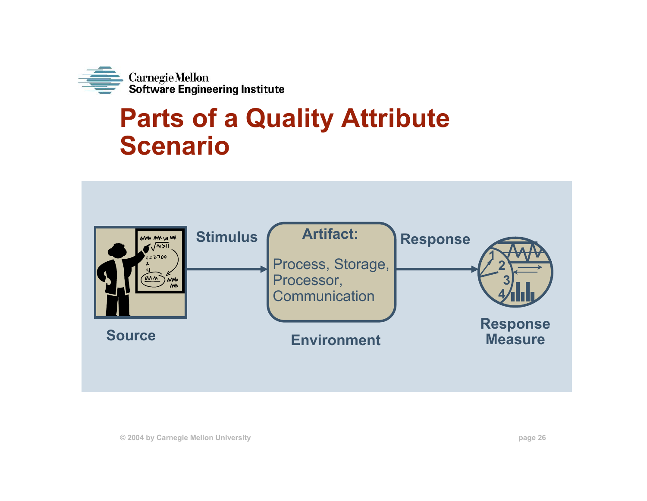

#### **Parts of a Quality Attribute Scenario**

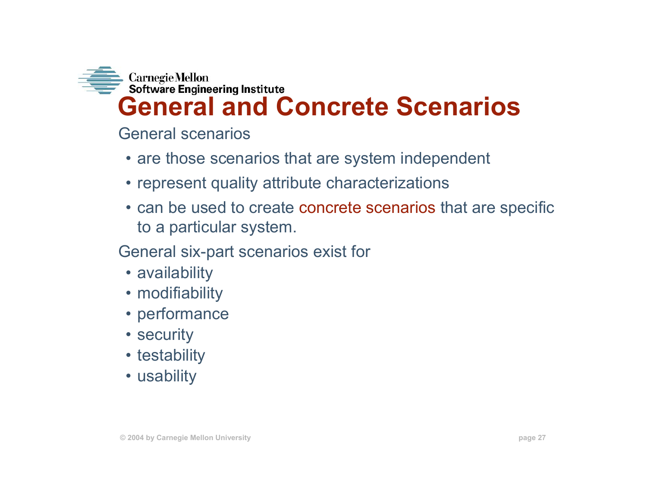

General scenarios

- are those scenarios that are system independent
- represent quality attribute characterizations
- can be used to create concrete scenarios that are specific to a particular system.

General six-part scenarios exist for

- availability
- modifiability
- performance
- security
- testability
- usability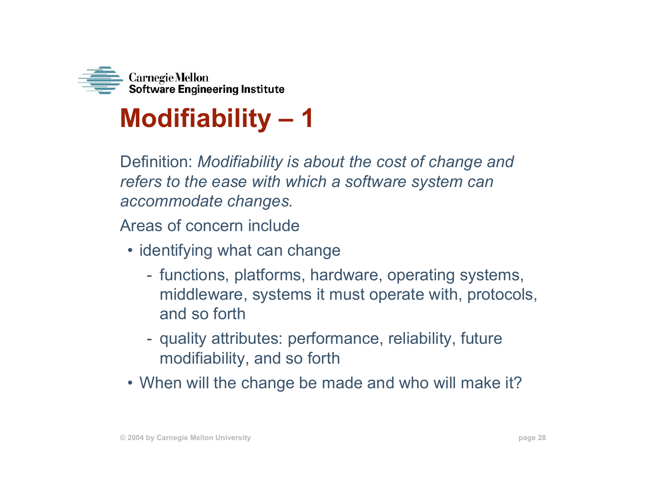

### **Modifiability – 1**

Definition: *Modifiability is about the cost of change and refers to the ease with which a software system can accommodate changes.*

Areas of concern include

- identifying what can change
	- functions, platforms, hardware, operating systems, middleware, systems it must operate with, protocols, and so forth
	- quality attributes: performance, reliability, future modifiability, and so forth
- When will the change be made and who will make it?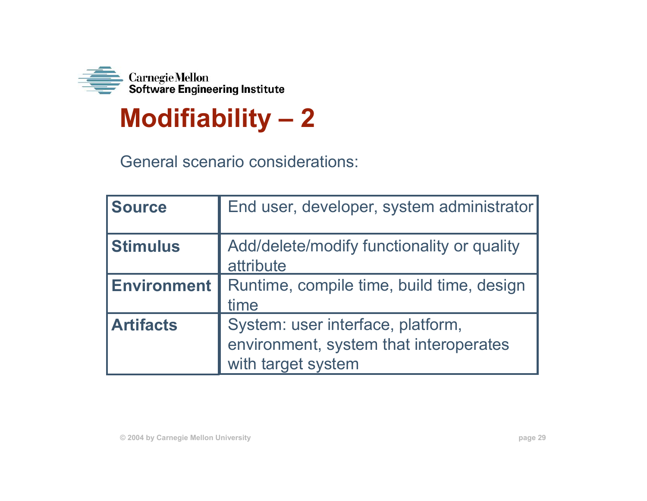

# **Modifiability – 2**

General scenario considerations:

| <b>Source</b>      | End user, developer, system administrator                                                         |
|--------------------|---------------------------------------------------------------------------------------------------|
| <b>Stimulus</b>    | Add/delete/modify functionality or quality<br>attribute                                           |
| <b>Environment</b> | Runtime, compile time, build time, design<br>time                                                 |
| <b>Artifacts</b>   | System: user interface, platform,<br>environment, system that interoperates<br>with target system |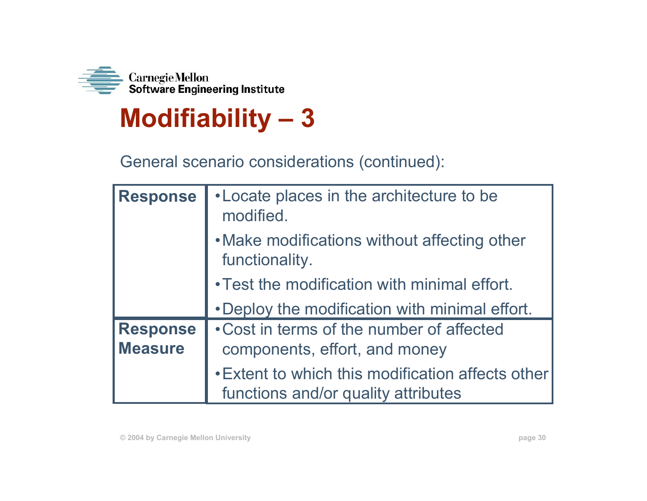

#### **Modifiability – 3**

General scenario considerations (continued):

| <b>Response</b>                   | • Locate places in the architecture to be<br>modified.                                   |
|-----------------------------------|------------------------------------------------------------------------------------------|
|                                   | . Make modifications without affecting other<br>functionality.                           |
|                                   | . Test the modification with minimal effort.                                             |
|                                   | . Deploy the modification with minimal effort.                                           |
| <b>Response</b><br><b>Measure</b> | • Cost in terms of the number of affected<br>components, effort, and money               |
|                                   | • Extent to which this modification affects other<br>functions and/or quality attributes |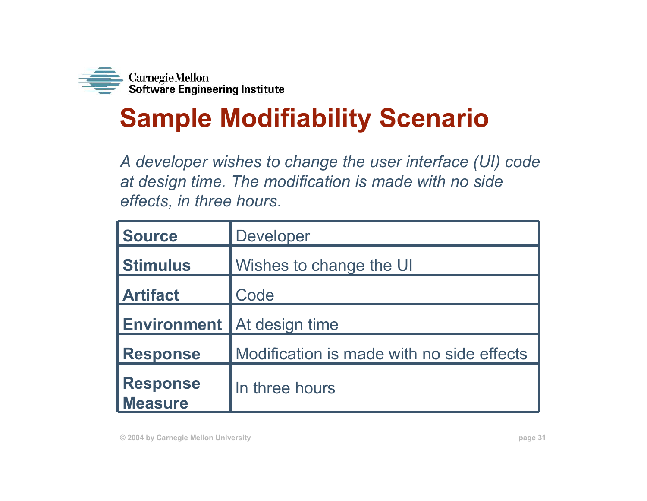

# **Sample Modifiability Scenario**

*A developer wishes to change the user interface (UI) code at design time. The modification is made with no side effects, in three hours*.

| Source                            | Developer                                 |
|-----------------------------------|-------------------------------------------|
| <b>Stimulus</b>                   | Wishes to change the UI                   |
| <b>Artifact</b>                   | Code                                      |
| <b>Environment</b>                | At design time                            |
| <b>Response</b>                   | Modification is made with no side effects |
| <b>Response</b><br><b>Measure</b> | In three hours                            |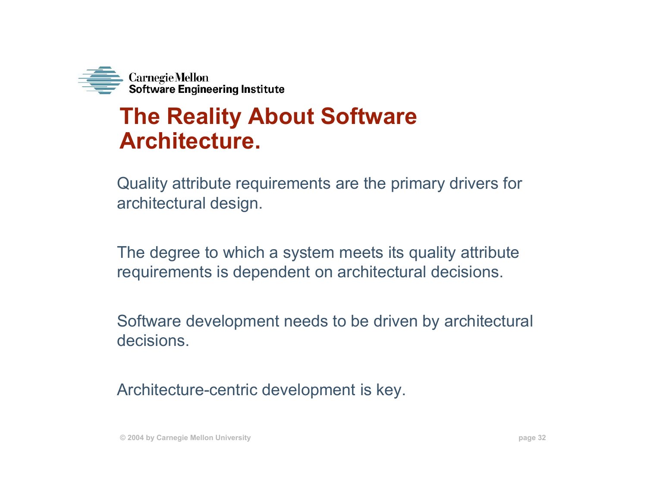

#### **The Reality About Software Architecture.**

Quality attribute requirements are the primary drivers for architectural design.

The degree to which a system meets its quality attribute requirements is dependent on architectural decisions.

Software development needs to be driven by architectural decisions.

Architecture-centric development is key.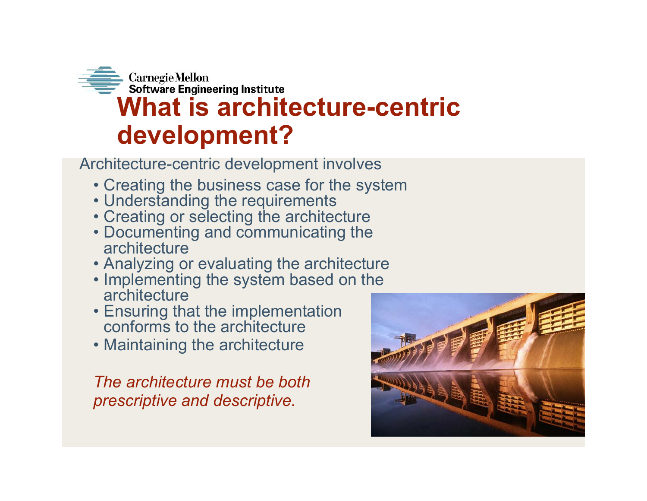

Architecture-centric development involves

- Creating the business case for the system
- Understanding the requirements
- Creating or selecting the architecture
- Documenting and communicating the architecture
- Analyzing or evaluating the architecture
- Implementing the system based on the architecture
- Ensuring that the implementation conforms to the architecture
- Maintaining the architecture

*The architecture must be both prescriptive and descriptive.*

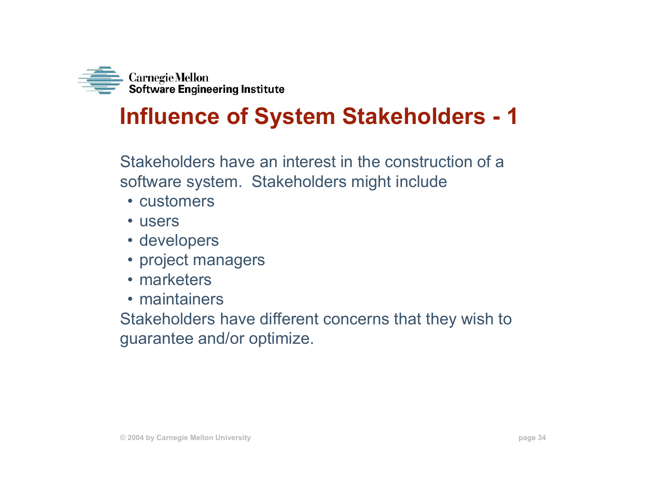

#### **Influence of System Stakeholders - 1**

Stakeholders have an interest in the construction of a software system. Stakeholders might include

- customers
- users
- developers
- project managers
- marketers
- maintainers

Stakeholders have different concerns that they wish to guarantee and/or optimize.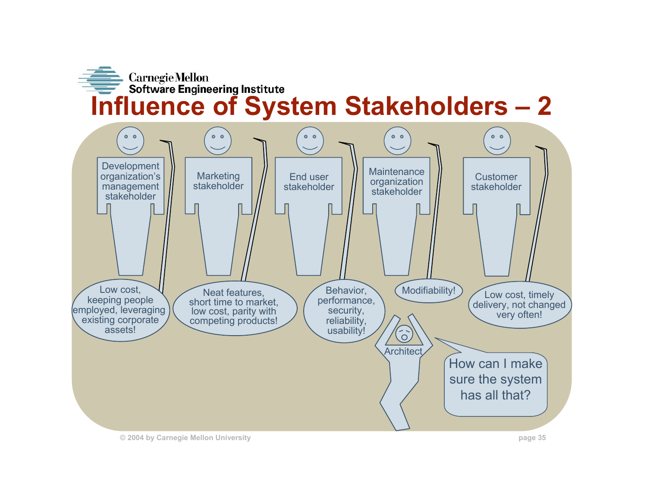

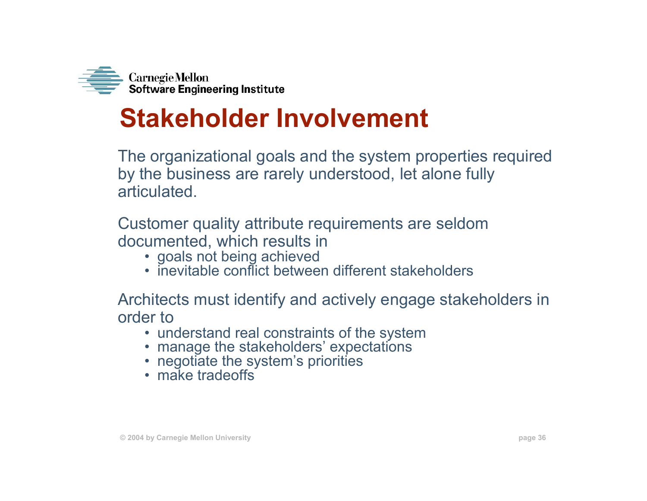

#### **Stakeholder Involvement**

The organizational goals and the system properties required by the business are rarely understood, let alone fully articulated.

Customer quality attribute requirements are seldom documented, which results in

- goals not being achieved
- inevitable conflict between different stakeholders

Architects must identify and actively engage stakeholders in order to

- understand real constraints of the system
- manage the stakeholders' expectations
- negotiate the system's priorities
- make tradeoffs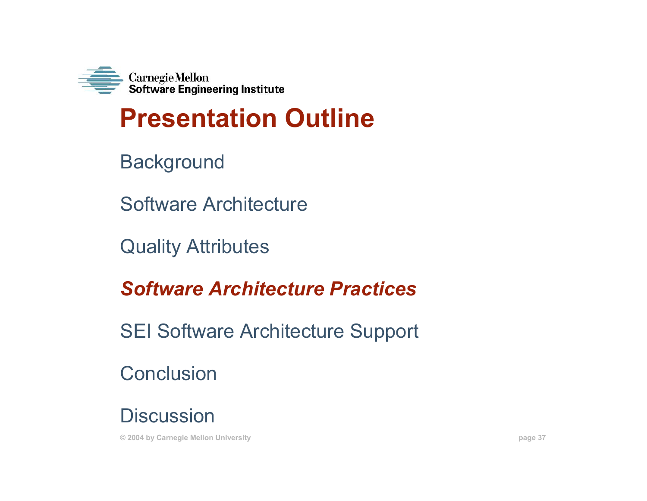

## **Presentation Outline**

**Background** 

Software Architecture

Quality Attributes

*Software Architecture Practices*

SEI Software Architecture Support

**Conclusion** 

**Discussion** 

**© 2004 by Carnegie Mellon University page 37**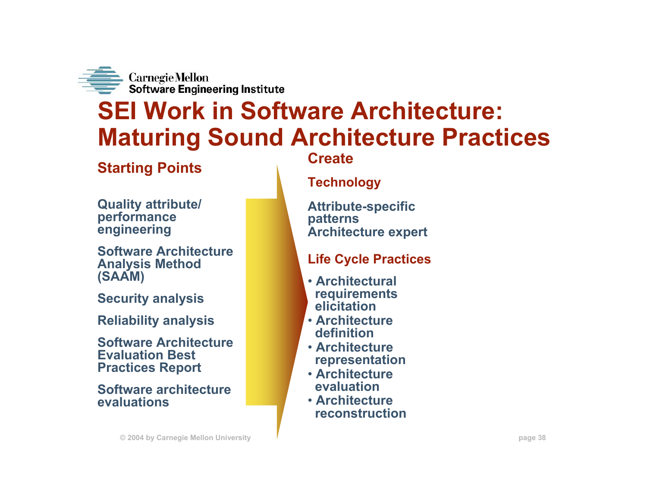

## **SEI Work in Software Architecture: Maturing Sound Architecture Practices**

### **Starting Points**

**Quality attribute/ performance engineering**

**Software Architecture Analysis Method (SAAM)**

**Security analysis**

**Reliability analysis**

**Software Architecture Evaluation Best Practices Report**

**Software architecture evaluations**

**Create**

#### **Technology**

**Attribute-specific patterns Architecture expert**

### **Life Cycle Practices**

- **Architectural requirements elicitation**
- **Architecture definition**
- **Architecture representation**
- **Architecture evaluation**
- **Architecture reconstruction**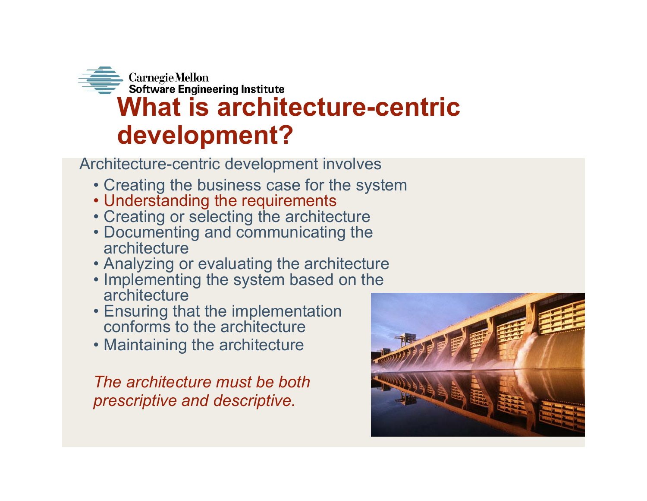

Architecture-centric development involves

- Creating the business case for the system
- Understanding the requirements
- Creating or selecting the architecture
- Documenting and communicating the architecture
- Analyzing or evaluating the architecture
- Implementing the system based on the architecture
- Ensuring that the implementation conforms to the architecture
- Maintaining the architecture

*The architecture must be both prescriptive and descriptive.*

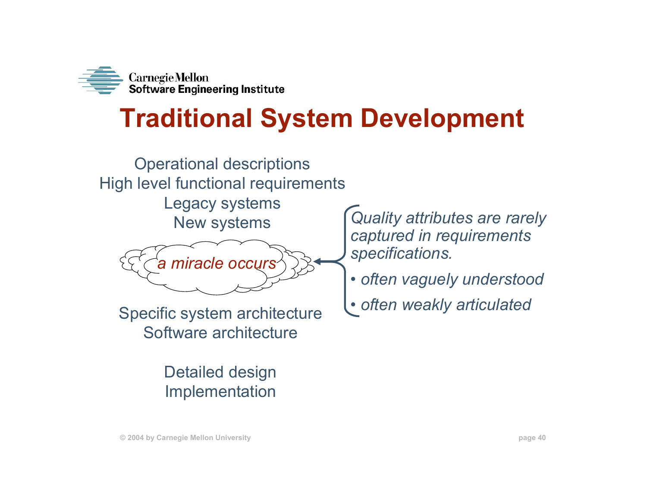

## **Traditional System Development**



Detailed design Implementation

*Quality attributes are rarely captured in requirements specifications.*

- *often vaguely understood*
- *often weakly articulated*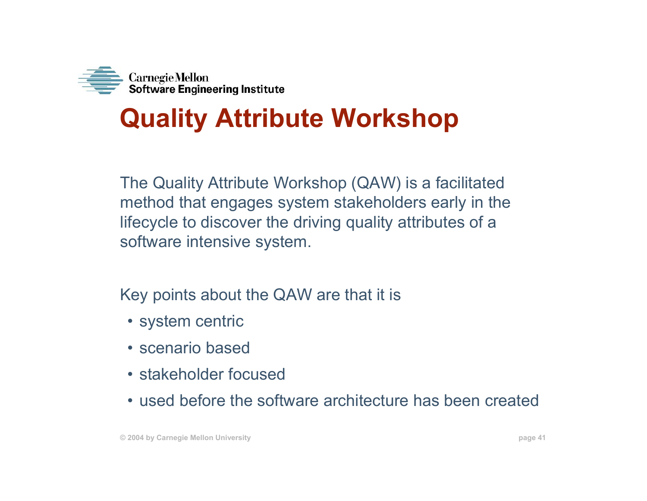

# **Quality Attribute Workshop**

The Quality Attribute Workshop (QAW) is a facilitated method that engages system stakeholders early in the lifecycle to discover the driving quality attributes of a software intensive system.

Key points about the QAW are that it is

- system centric
- scenario based
- stakeholder focused
- used before the software architecture has been created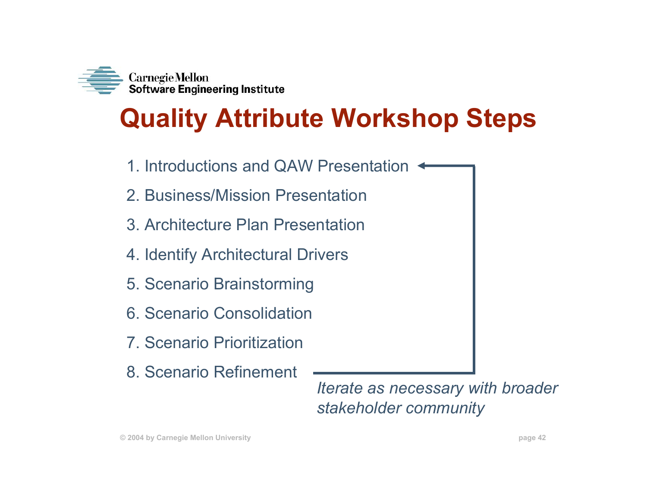

## **Quality Attribute Workshop Steps**

- 1. Introductions and QAW Presentation
- 2. Business/Mission Presentation
- 3. Architecture Plan Presentation
- 4. Identify Architectural Drivers
- 5. Scenario Brainstorming
- 6. Scenario Consolidation
- 7. Scenario Prioritization
- 8. Scenario Refinement

*Iterate as necessary with broader stakeholder community*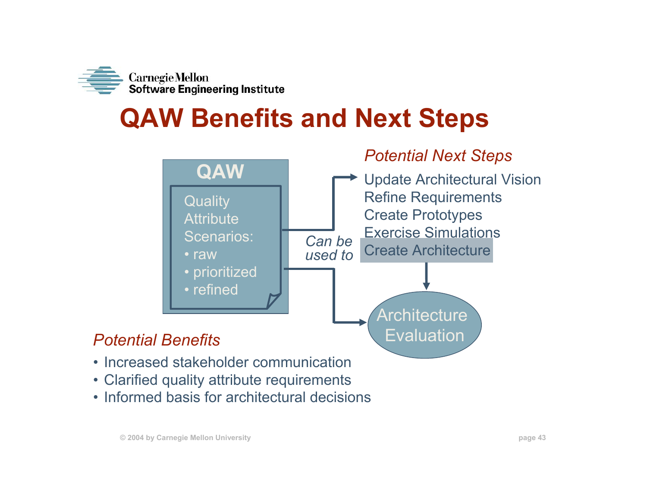

## **QAW Benefits and Next Steps**



- 
- Clarified quality attribute requirements
- Informed basis for architectural decisions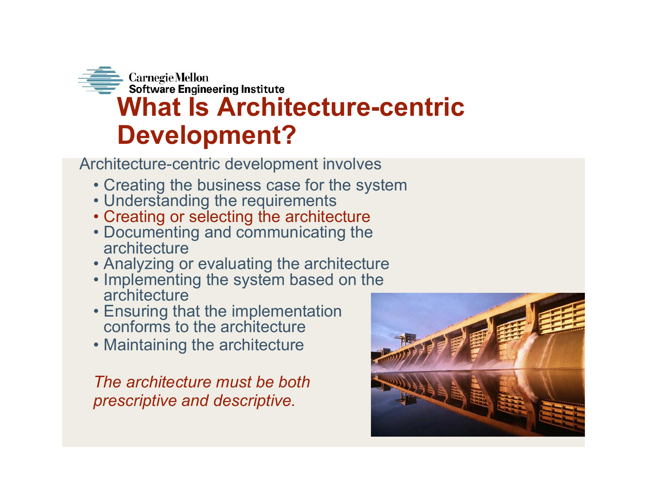

Architecture-centric development involves

- Creating the business case for the system
- Understanding the requirements
- Creating or selecting the architecture
- Documenting and communicating the architecture
- Analyzing or evaluating the architecture
- Implementing the system based on the architecture
- Ensuring that the implementation conforms to the architecture
- Maintaining the architecture

*The architecture must be both prescriptive and descriptive.*

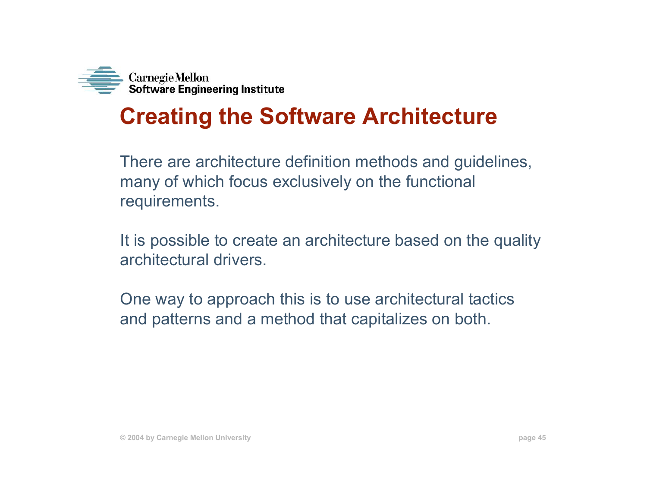

## **Creating the Software Architecture**

There are architecture definition methods and guidelines, many of which focus exclusively on the functional requirements.

It is possible to create an architecture based on the quality architectural drivers.

One way to approach this is to use architectural tactics and patterns and a method that capitalizes on both.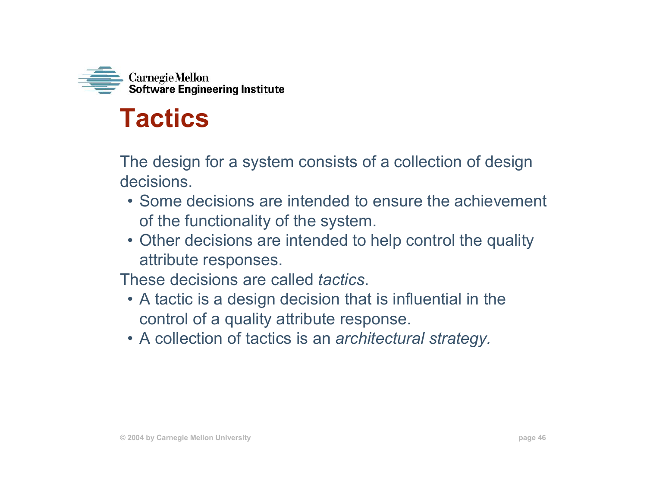

## **Tactics**

The design for a system consists of a collection of design decisions.

- Some decisions are intended to ensure the achievement of the functionality of the system.
- Other decisions are intended to help control the quality attribute responses.

These decisions are called *tactics*.

- A tactic is a design decision that is influential in the control of a quality attribute response.
- A collection of tactics is an *architectural strategy.*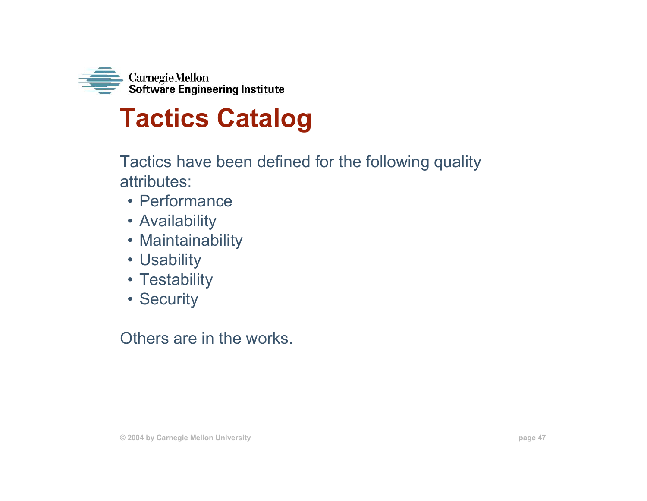

## **Tactics Catalog**

Tactics have been defined for the following quality attributes:

- Performance
- Availability
- Maintainability
- Usability
- Testability
- Security

Others are in the works.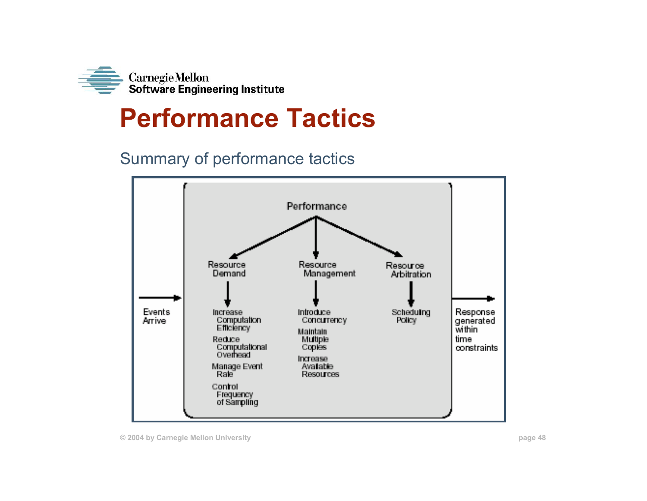

## **Performance Tactics**

### Summary of performance tactics

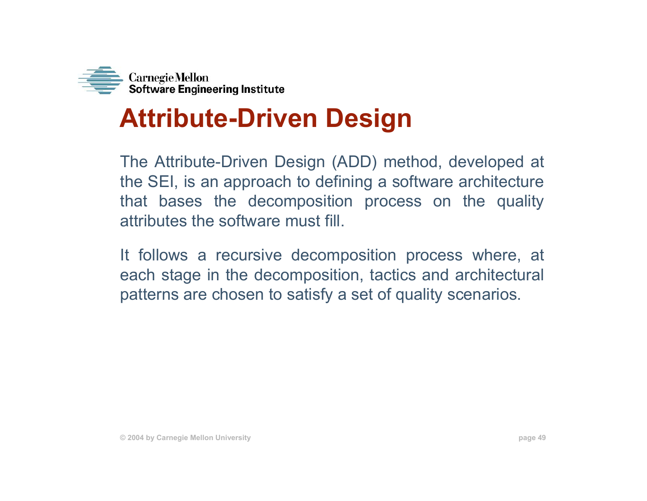

## **Attribute-Driven Design**

The Attribute-Driven Design (ADD) method, developed at the SEI, is an approach to defining a software architecture that bases the decomposition process on the quality attributes the software must fill.

It follows a recursive decomposition process where, at each stage in the decomposition, tactics and architectural patterns are chosen to satisfy a set of quality scenarios.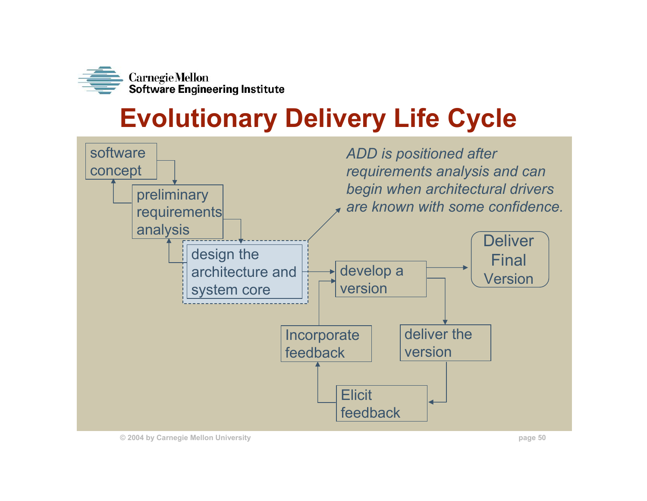

# **Evolutionary Delivery Life Cycle**



**© 2004 by Carnegie Mellon University page 50**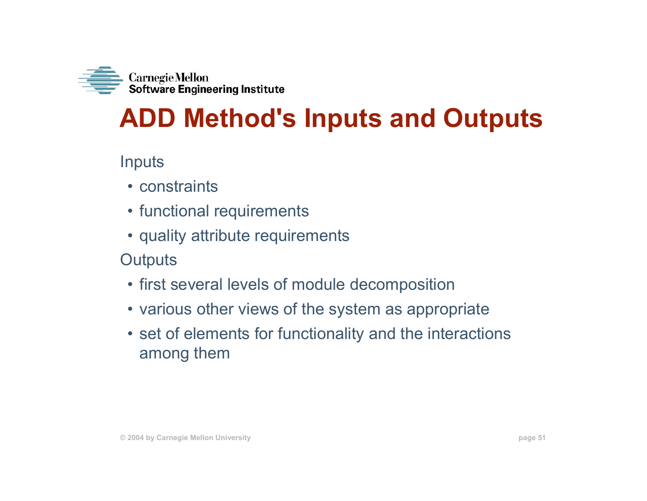

## **ADD Method's Inputs and Outputs**

Inputs

- constraints
- functional requirements
- quality attribute requirements
- **Outputs**
- first several levels of module decomposition
- various other views of the system as appropriate
- set of elements for functionality and the interactions among them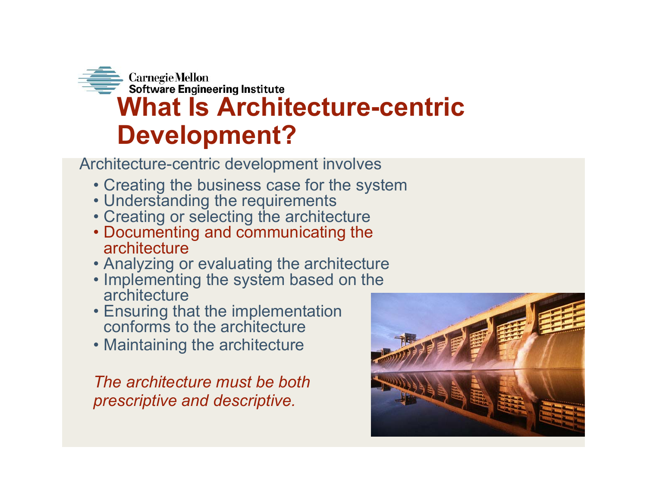

Architecture-centric development involves

- Creating the business case for the system
- Understanding the requirements
- Creating or selecting the architecture
- Documenting and communicating the architecture
- Analyzing or evaluating the architecture
- Implementing the system based on the architecture
- Ensuring that the implementation conforms to the architecture
- Maintaining the architecture

*The architecture must be both prescriptive and descriptive.*

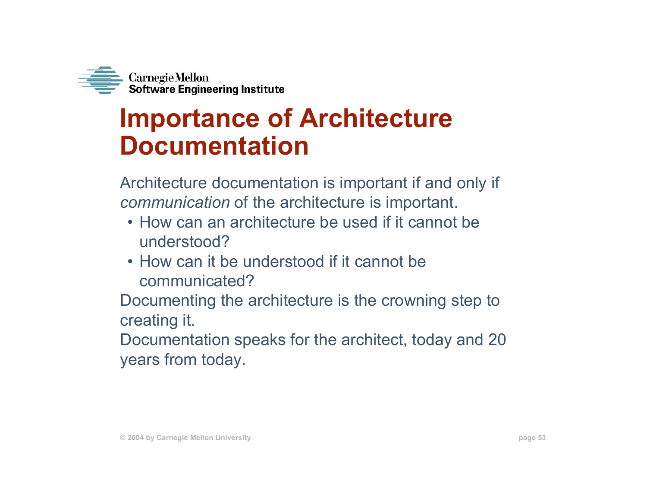

## **Importance of Architecture Documentation**

Architecture documentation is important if and only if *communication* of the architecture is important.

- How can an architecture be used if it cannot be understood?
- How can it be understood if it cannot be communicated?

Documenting the architecture is the crowning step to creating it.

Documentation speaks for the architect, today and 20 years from today.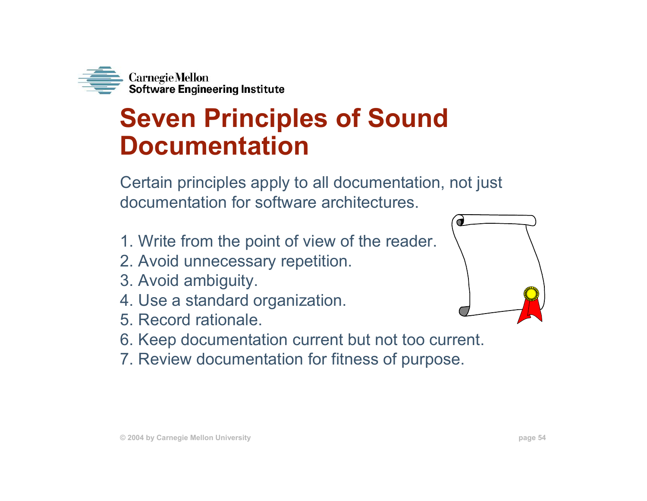

## **Seven Principles of Sound Documentation**

Certain principles apply to all documentation, not just documentation for software architectures.

- 1. Write from the point of view of the reader.
- 2. Avoid unnecessary repetition.
- 3. Avoid ambiguity.
- 4. Use a standard organization.
- 5. Record rationale.
- 6. Keep documentation current but not too current.
- 7. Review documentation for fitness of purpose.

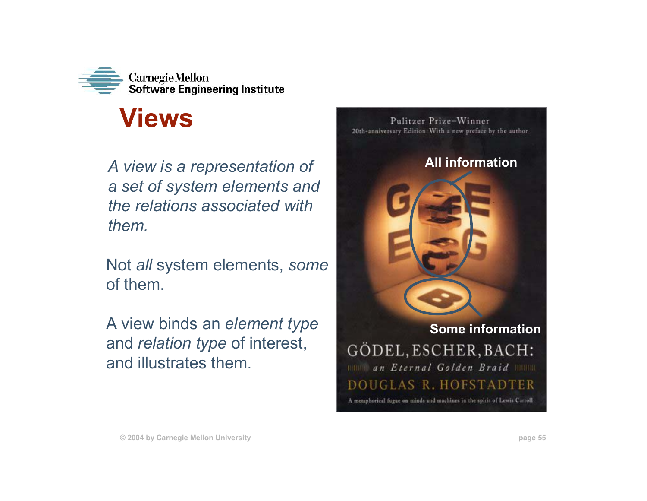

## **Views**

*A view is a representation of a set of system elements and the relations associated with them.*

Not *all* system elements, *some* of them.

A view binds an *element type* and *relation type* of interest, and illustrates them.

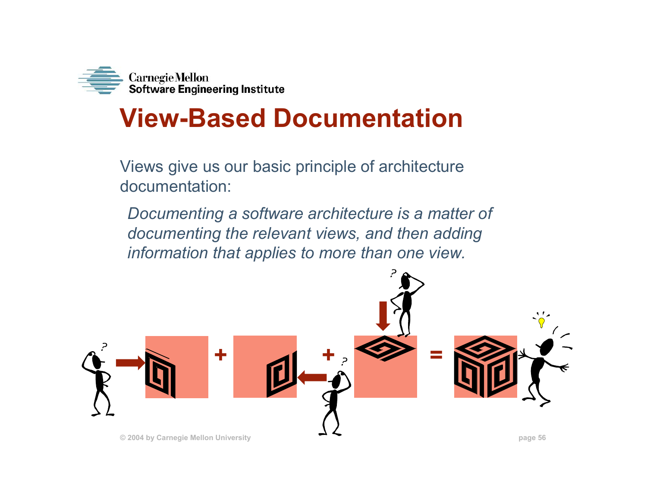

## **View-Based Documentation**

Views give us our basic principle of architecture documentation:

*Documenting a software architecture is a matter of documenting the relevant views, and then adding information that applies to more than one view.*

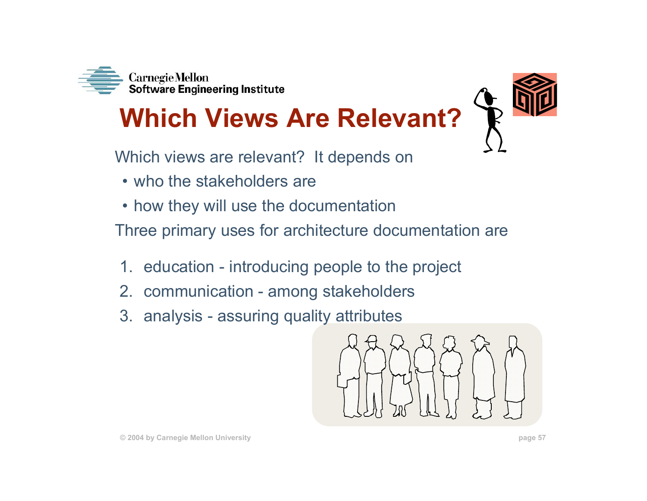

# **Which Views Are Relevant?**



- who the stakeholders are
- how they will use the documentation

Three primary uses for architecture documentation are

- 1. education introducing people to the project
- 2. communication among stakeholders
- 3. analysis assuring quality attributes

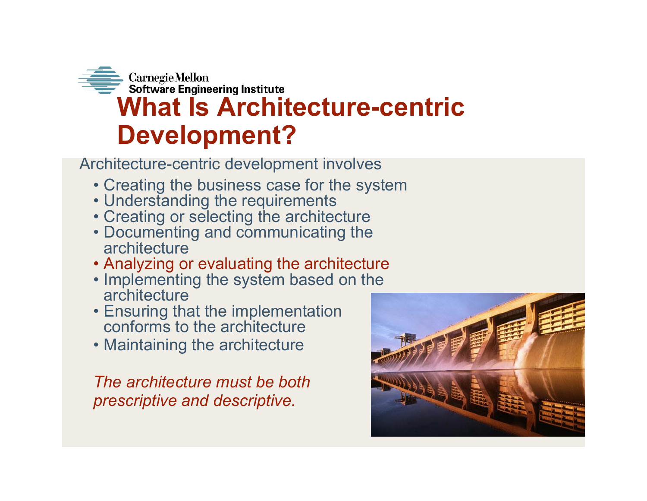

Architecture-centric development involves

- Creating the business case for the system
- Understanding the requirements
- Creating or selecting the architecture
- Documenting and communicating the architecture
- Analyzing or evaluating the architecture
- Implementing the system based on the architecture
- Ensuring that the implementation conforms to the architecture
- Maintaining the architecture

*The architecture must be both prescriptive and descriptive.*

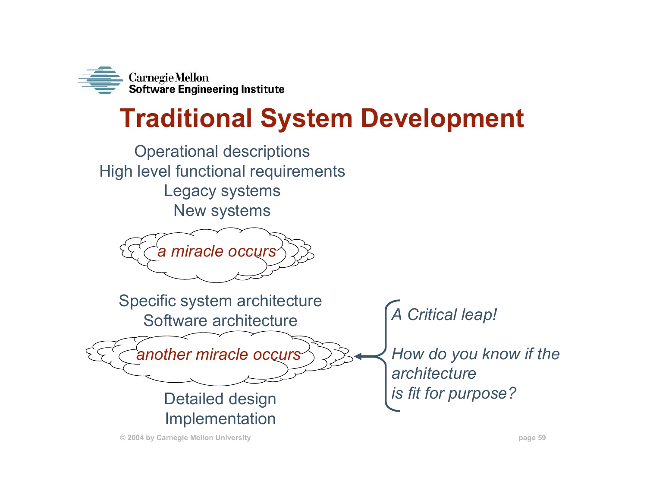

## **Traditional System Development**

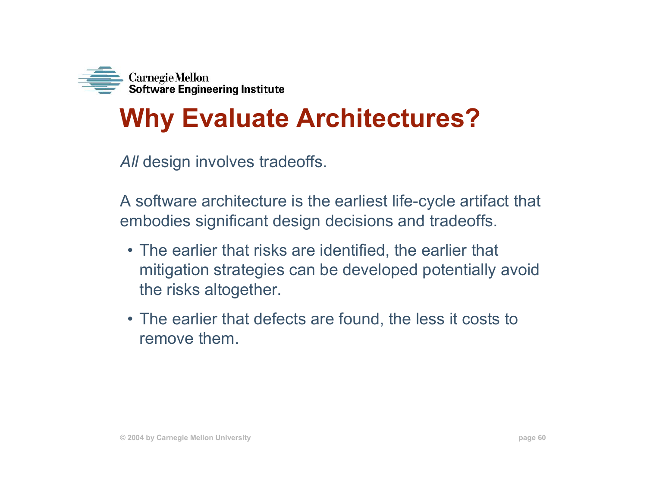

## **Why Evaluate Architectures?**

*All* design involves tradeoffs.

A software architecture is the earliest life-cycle artifact that embodies significant design decisions and tradeoffs.

- The earlier that risks are identified, the earlier that mitigation strategies can be developed potentially avoid the risks altogether.
- The earlier that defects are found, the less it costs to remove them.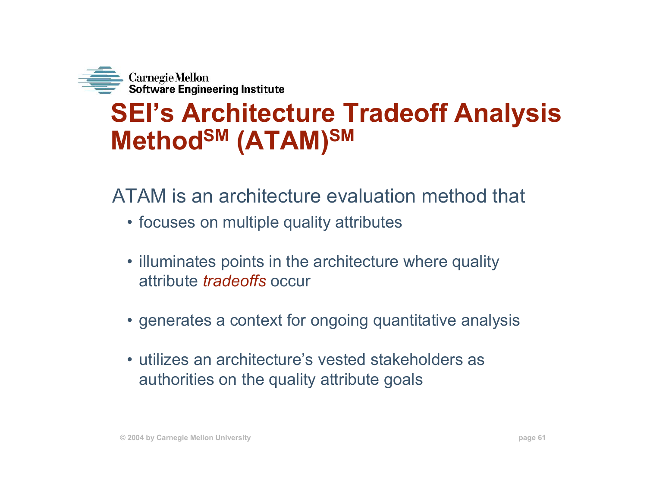

## **SEI's Architecture Tradeoff Analysis MethodSM (ATAM)SM**

### ATAM is an architecture evaluation method that

- focuses on multiple quality attributes
- illuminates points in the architecture where quality attribute *tradeoffs* occur
- generates a context for ongoing quantitative analysis
- utilizes an architecture's vested stakeholders as authorities on the quality attribute goals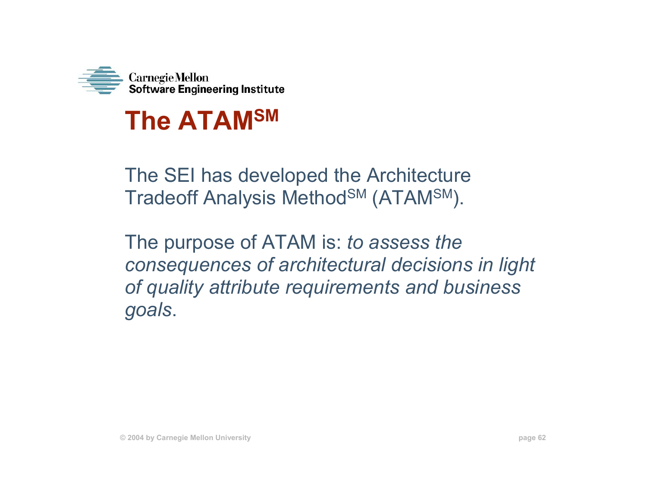

## **The ATAMSM**

The SEI has developed the Architecture Tradeoff Analysis Method<sup>SM</sup> (ATAM<sup>SM</sup>).

The purpose of ATAM is: *to assess the consequences of architectural decisions in light of quality attribute requirements and business goals*.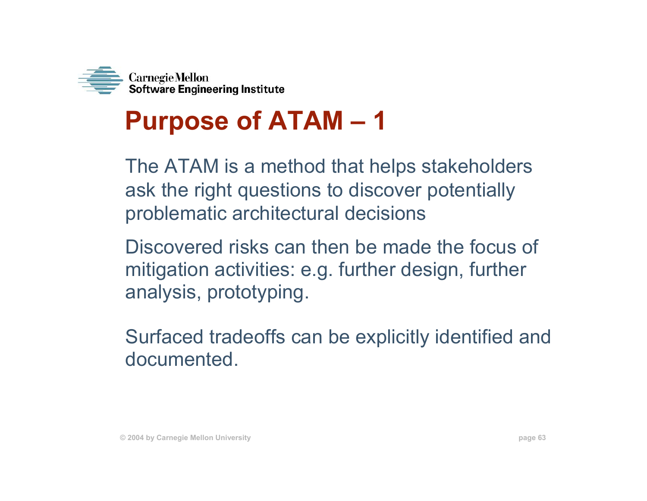

# **Purpose of ATAM – 1**

The ATAM is a method that helps stakeholders ask the right questions to discover potentially problematic architectural decisions

Discovered risks can then be made the focus of mitigation activities: e.g. further design, further analysis, prototyping.

Surfaced tradeoffs can be explicitly identified and documented.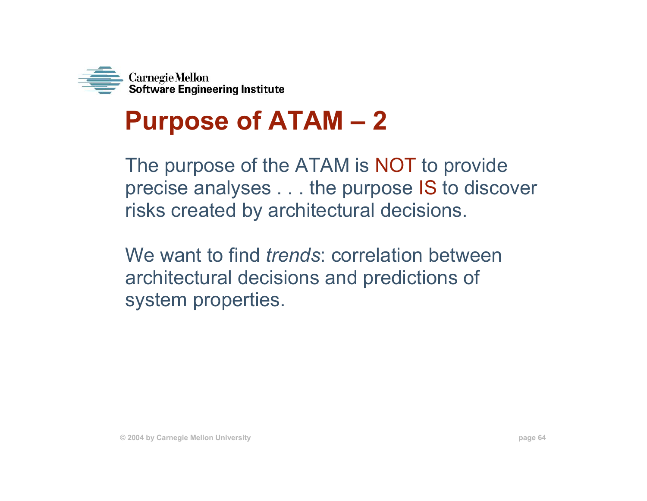

## **Purpose of ATAM – 2**

The purpose of the ATAM is NOT to provide precise analyses . . . the purpose IS to discover risks created by architectural decisions.

We want to find *trends*: correlation between architectural decisions and predictions of system properties.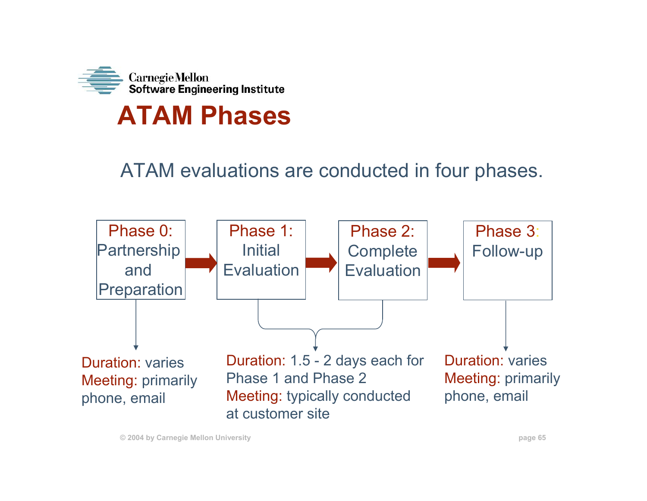

## **ATAM Phases**

### ATAM evaluations are conducted in four phases.



**© 2004 by Carnegie Mellon University page 65**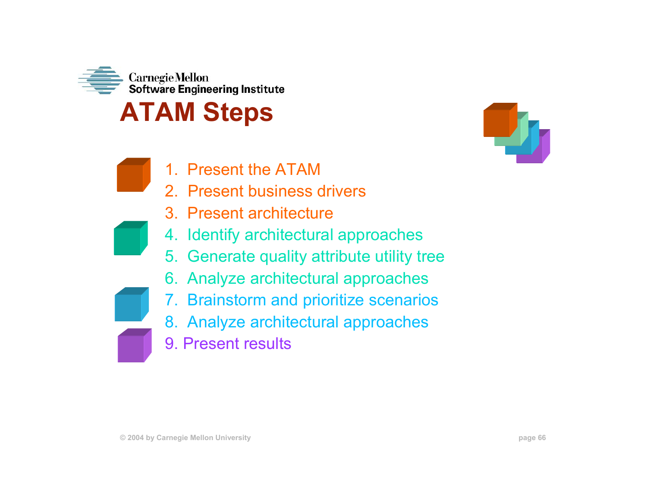

## **ATAM Steps**

- 1. Present the ATAM
- 2. Present business drivers
- 3. Present architecture
- 4. Identify architectural approaches
- 5. Generate quality attribute utility tree
- 6. Analyze architectural approaches
- 7. Brainstorm and prioritize scenarios
- 8. Analyze architectural approaches
- 9. Present results

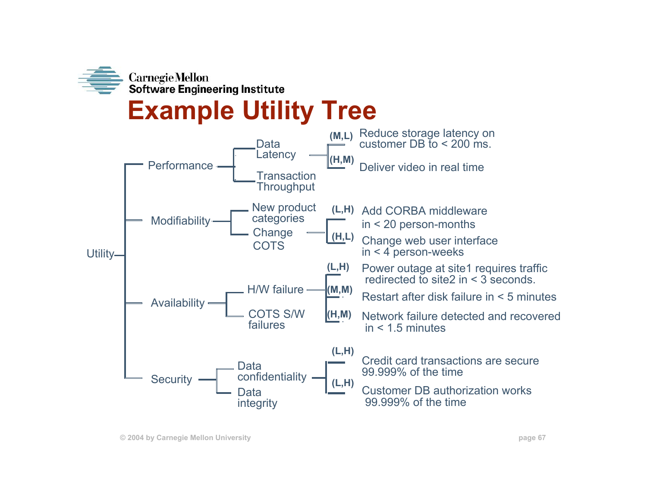

## **Example Utility Tree**

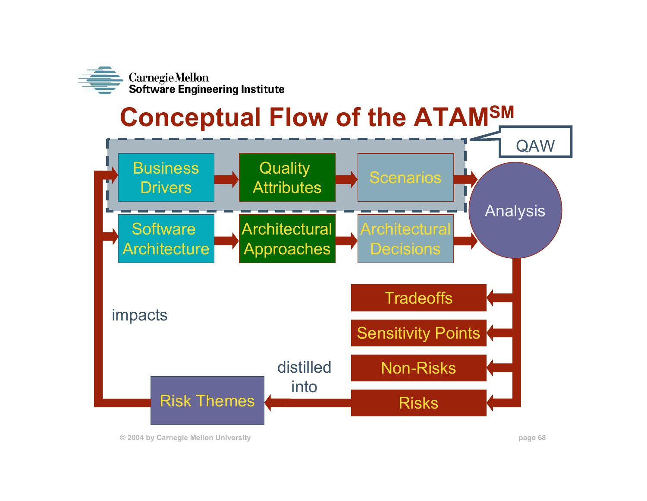

## **Conceptual Flow of the ATAMSM**



**© 2004 by Carnegie Mellon University page 68**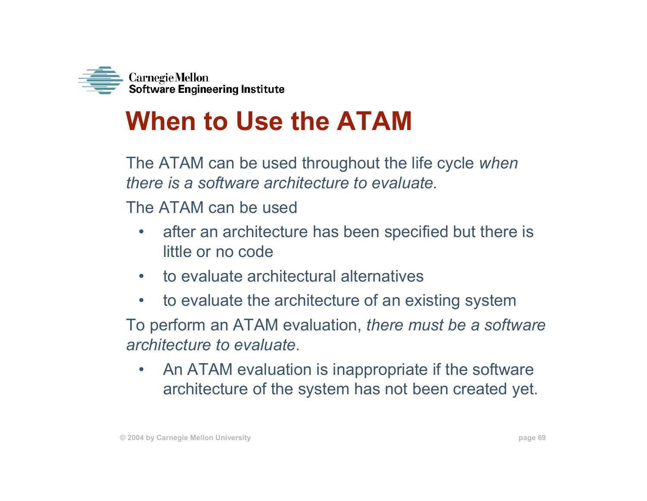

# **When to Use the ATAM**

The ATAM can be used throughout the life cycle *when there is a software architecture to evaluate.* 

The ATAM can be used

- • after an architecture has been specified but there is little or no code
- $\bullet$ to evaluate architectural alternatives
- $\bullet$ to evaluate the architecture of an existing system

To perform an ATAM evaluation, *there must be a software architecture to evaluate*.

 $\bullet$  An ATAM evaluation is inappropriate if the software architecture of the system has not been created yet.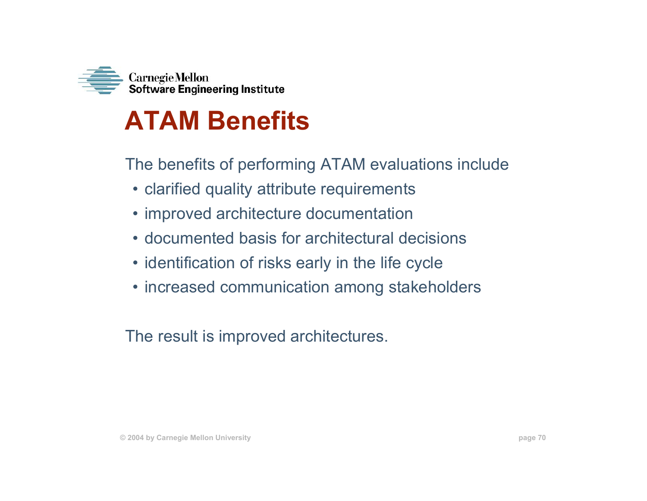

## **ATAM Benefits**

The benefits of performing ATAM evaluations include

- clarified quality attribute requirements
- improved architecture documentation
- documented basis for architectural decisions
- identification of risks early in the life cycle
- increased communication among stakeholders

The result is improved architectures.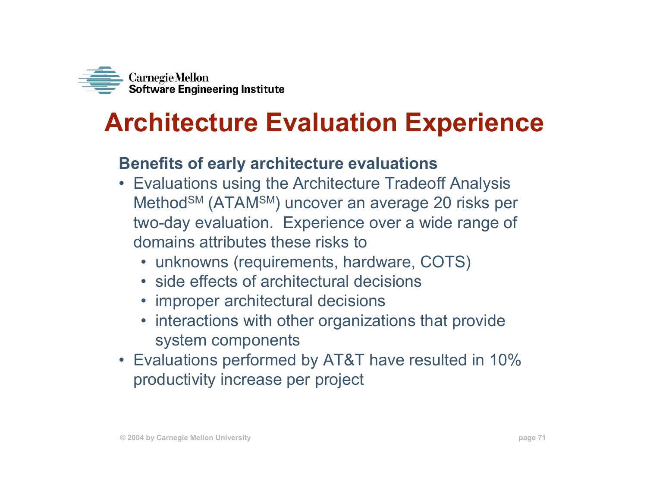

## **Architecture Evaluation Experience**

### **Benefits of early architecture evaluations**

- Evaluations using the Architecture Tradeoff Analysis Method<sup>SM</sup> (ATAM<sup>SM</sup>) uncover an average 20 risks per two-day evaluation. Experience over a wide range of domains attributes these risks to
	- unknowns (requirements, hardware, COTS)
	- side effects of architectural decisions
	- improper architectural decisions
	- interactions with other organizations that provide system components
- Evaluations performed by AT&T have resulted in 10% productivity increase per project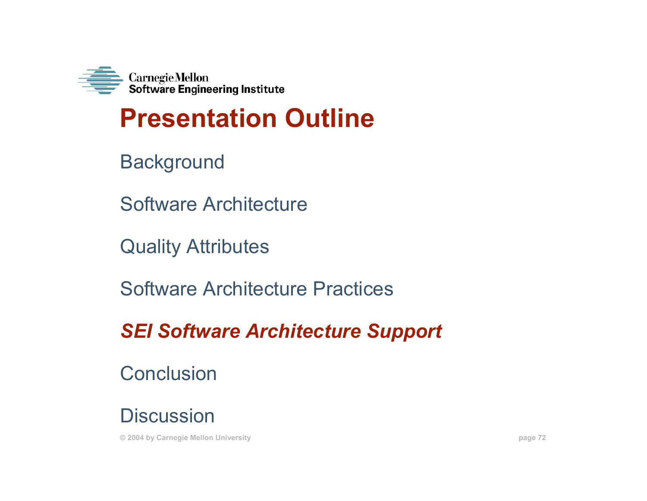

## **Presentation Outline**

**Background** 

Software Architecture

Quality Attributes

Software Architecture Practices

*SEI Software Architecture Support*

**Conclusion** 

**Discussion** 

**© 2004 by Carnegie Mellon University page 72**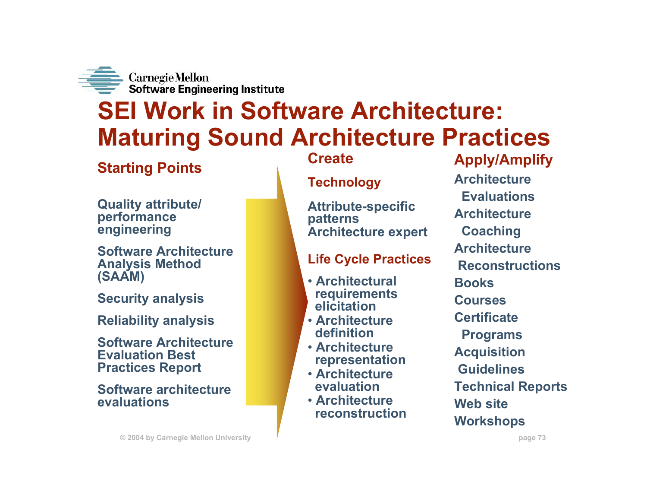

## **SEI Work in Software Architecture: Maturing Sound Architecture Practices**

### **Starting Points**

**Quality attribute/ performance engineering**

**Software Architecture Analysis Method (SAAM)**

**Security analysis**

**Reliability analysis**

**Software Architecture Evaluation Best Practices Report**

**Software architecture evaluations**

### **Create**

#### **Technology**

**Attribute-specific patterns Architecture expert**

#### **Life Cycle Practices**

- **Architectural requirements elicitation**
- **Architecture definition**
- **Architecture representation**
- **Architecture evaluation**
- **Architecture reconstruction**

### **Apply/Amplify Architecture EvaluationsArchitectureCoaching ArchitectureReconstructionsBooksCoursesCertificate Programs Acquisition GuidelinesTechnical Reports Web siteWorkshops**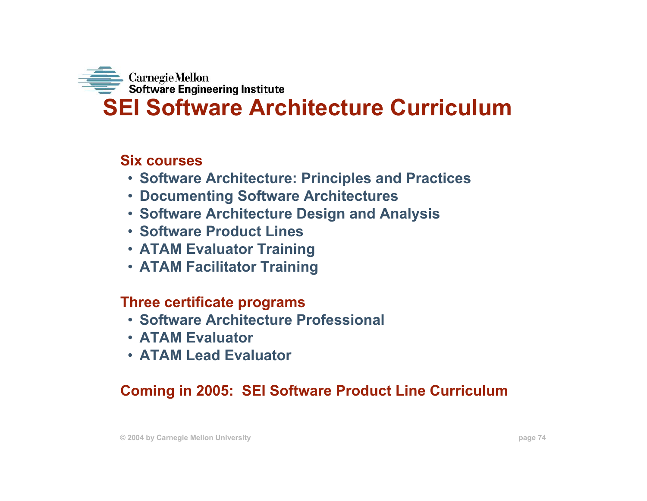

#### **Six courses**

- **Software Architecture: Principles and Practices**
- **Documenting Software Architectures**
- **Software Architecture Design and Analysis**
- **Software Product Lines**
- **ATAM Evaluator Training**
- **ATAM Facilitator Training**

#### **Three certificate programs**

- **Software Architecture Professional**
- **ATAM Evaluator**
- **ATAM Lead Evaluator**

### **Coming in 2005: SEI Software Product Line Curriculum**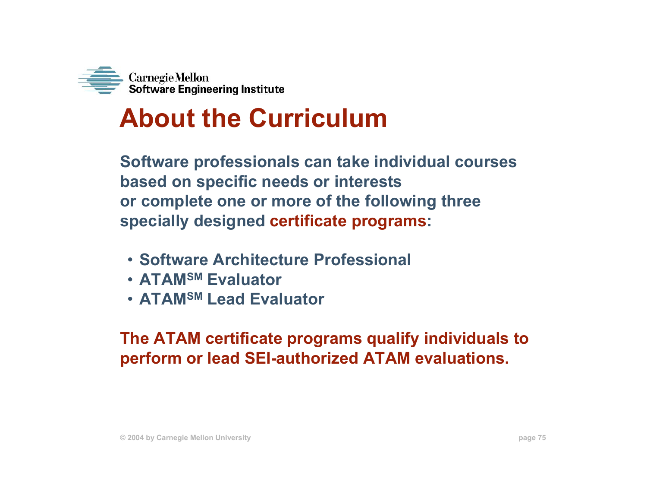

# **About the Curriculum**

**Software professionals can take individual courses based on specific needs or interests or complete one or more of the following three specially designed certificate programs:**

- **Software Architecture Professional**
- **ATAMSM Evaluator**
- **ATAMSM Lead Evaluator**

**The ATAM certificate programs qualify individuals to perform or lead SEI-authorized ATAM evaluations.**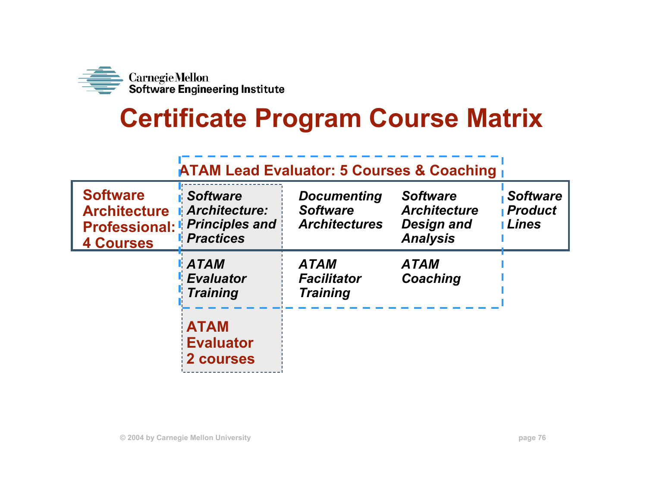

# **Certificate Program Course Matrix**

### **ATAM Lead Evaluator: 5 Courses & Coaching**

| <b>Software</b><br><b>Architecture</b><br><b>4 Courses</b> | <b>Software</b><br><b>Architecture:</b><br><b>Professional: Principles and</b><br><i>Practices</i> | <b>Documenting</b><br><b>Software</b><br><b>Architectures</b> | <b>Software</b><br><b>Architecture</b><br><b>Design and</b><br><b>Analysis</b> | <b>Software</b><br><b>Product</b><br><b>Lines</b> |
|------------------------------------------------------------|----------------------------------------------------------------------------------------------------|---------------------------------------------------------------|--------------------------------------------------------------------------------|---------------------------------------------------|
|                                                            | <b>ATAM</b><br><b>Evaluator</b><br><b>Training</b>                                                 | <b>ATAM</b><br><b>Facilitator</b><br><b>Training</b>          | <b>ATAM</b><br>Coaching                                                        |                                                   |
|                                                            | <b>ATAM</b><br><b>Evaluator</b><br>2 courses                                                       |                                                               |                                                                                |                                                   |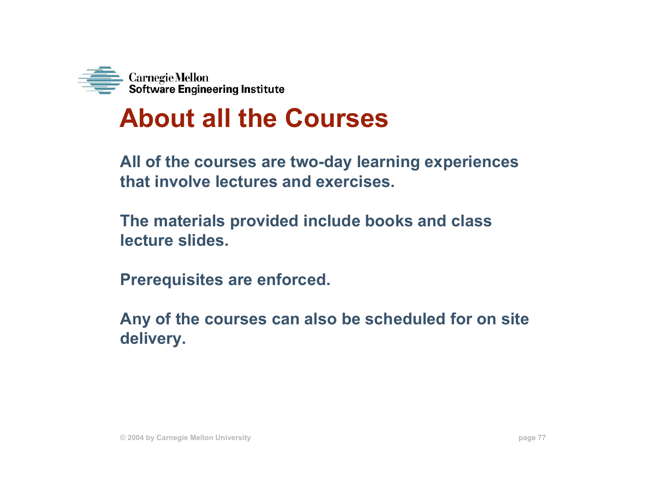

## **About all the Courses**

**All of the courses are two-day learning experiences that involve lectures and exercises.** 

**The materials provided include books and class lecture slides.**

**Prerequisites are enforced.**

**Any of the courses can also be scheduled for on site delivery.**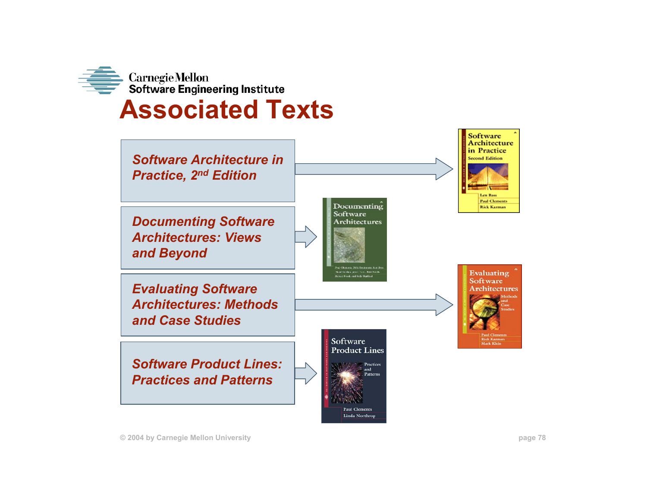

### **Associated Texts**

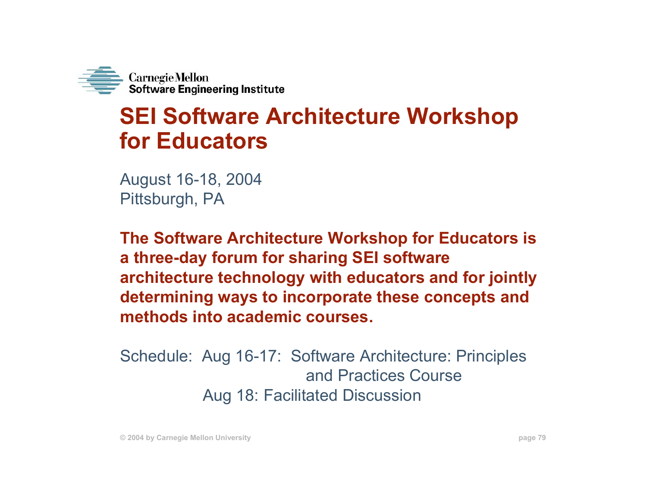

### **SEI Software Architecture Workshop for Educators**

August 16-18, 2004 Pittsburgh, PA

**The Software Architecture Workshop for Educators is a three-day forum for sharing SEI software architecture technology with educators and for jointly determining ways to incorporate these concepts and methods into academic courses.** 

Schedule: Aug 16-17: Software Architecture: Principles and Practices CourseAug 18: Facilitated Discussion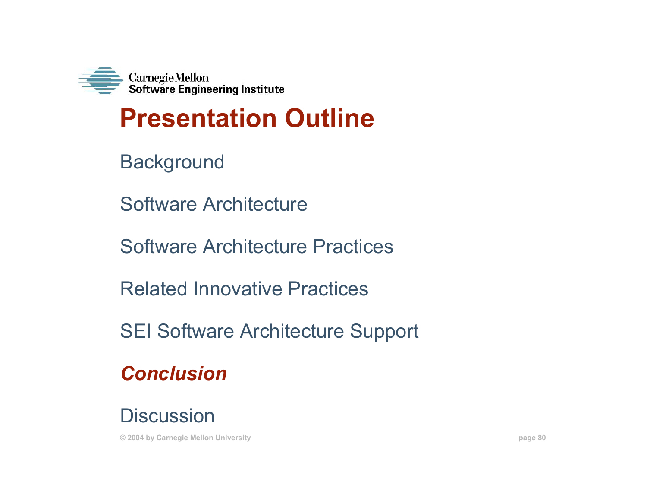

# **Presentation Outline**

- **Background**
- Software Architecture
- Software Architecture Practices
- Related Innovative Practices
- SEI Software Architecture Support
- *Conclusion*
- **Discussion**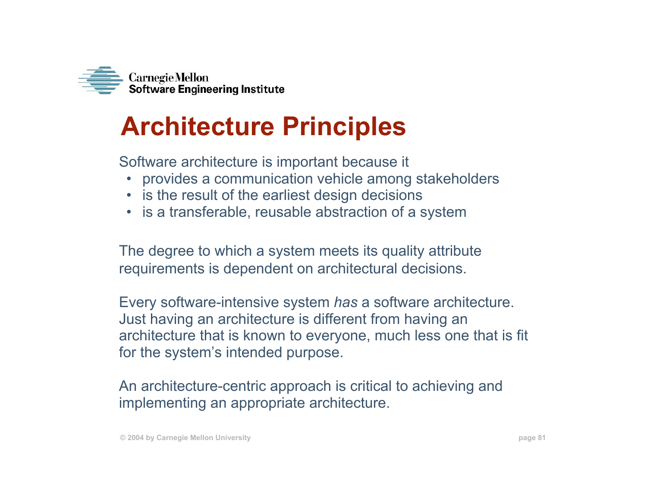

# **Architecture Principles**

Software architecture is important because it

- provides a communication vehicle among stakeholders
- is the result of the earliest design decisions
- is a transferable, reusable abstraction of a system

The degree to which a system meets its quality attribute requirements is dependent on architectural decisions.

Every software-intensive system *has* a software architecture. Just having an architecture is different from having an architecture that is known to everyone, much less one that is fit for the system's intended purpose.

An architecture-centric approach is critical to achieving and implementing an appropriate architecture.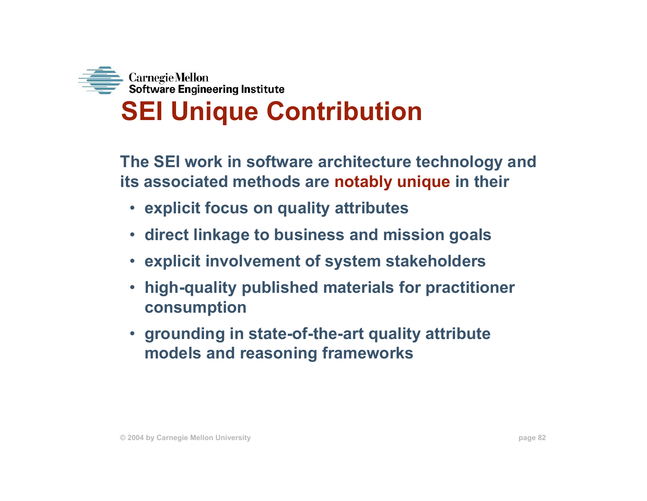

**The SEI work in software architecture technology and its associated methods are notably unique in their**

- **explicit focus on quality attributes**
- **direct linkage to business and mission goals**
- **explicit involvement of system stakeholders**
- **high-quality published materials for practitioner consumption**
- **grounding in state-of-the-art quality attribute models and reasoning frameworks**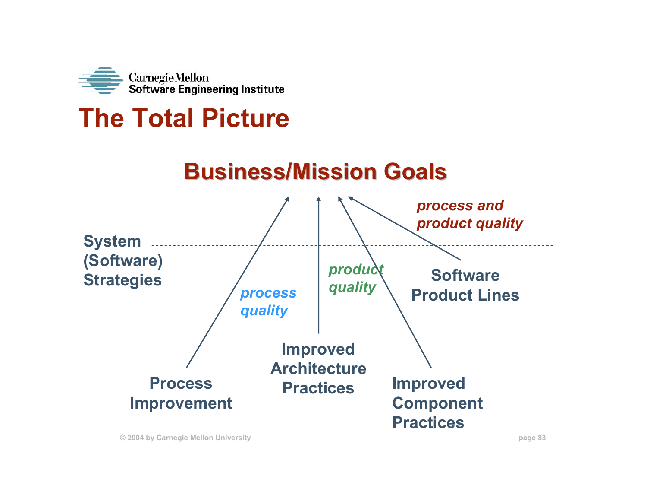

## **The Total Picture**

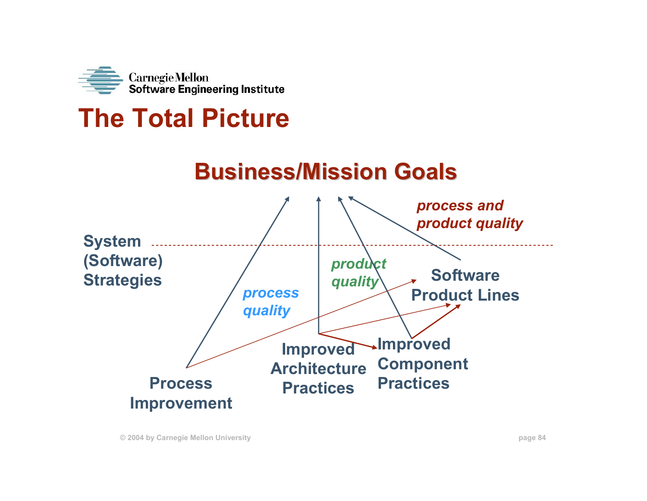

## **The Total Picture**

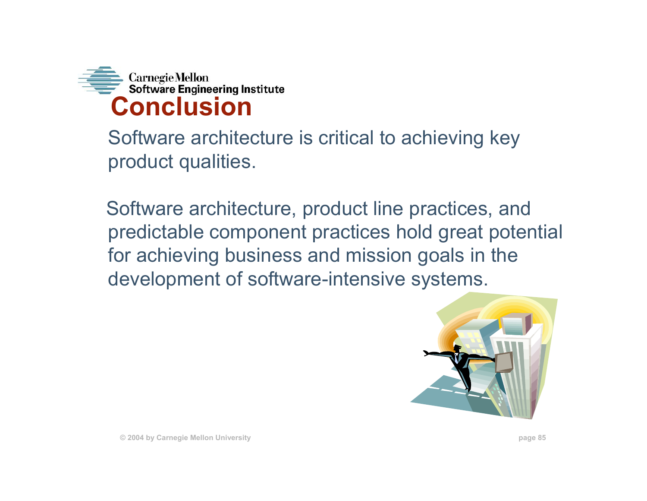

Software architecture is critical to achieving key product qualities.

Software architecture, product line practices, and predictable component practices hold great potential for achieving business and mission goals in the development of software-intensive systems.



**© 2004 by Carnegie Mellon University page 85**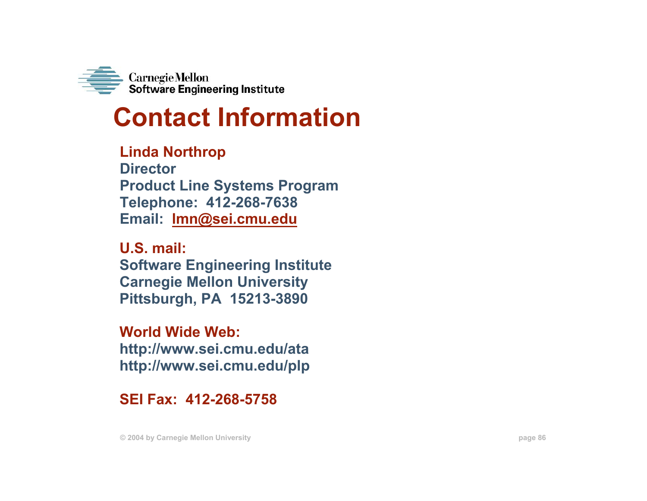

## **Contact Information**

**Linda Northrop DirectorProduct Line Systems Program Telephone: 412-268-7638 Email: lmn@sei.cmu.edu**

**U.S. mail:Software Engineering Institute Carnegie Mellon University Pittsburgh, PA 15213-3890**

**World Wide Web:http://www.sei.cmu.edu/ata http://www.sei.cmu.edu/plp**

**SEI Fax: 412-268-5758**